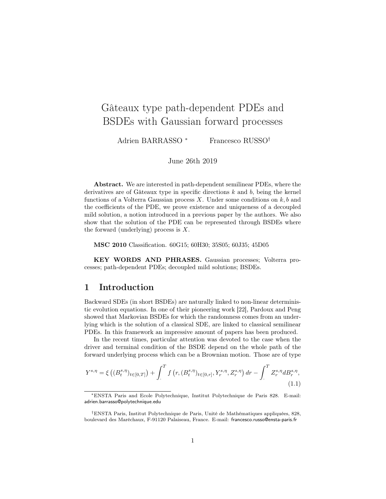# Gâteaux type path-dependent PDEs and BSDEs with Gaussian forward processes

Adrien BARRASSO<sup>\*</sup> Francesco RUSSO<sup>†</sup>

June 26th 2019

Abstract. We are interested in path-dependent semilinear PDEs, where the derivatives are of Gâteaux type in specific directions  $k$  and  $b$ , being the kernel functions of a Volterra Gaussian process  $X$ . Under some conditions on  $k, b$  and the coefficients of the PDE, we prove existence and uniqueness of a decoupled mild solution, a notion introduced in a previous paper by the authors. We also show that the solution of the PDE can be represented through BSDEs where the forward (underlying) process is  $X$ .

MSC 2010 Classification. 60G15; 60H30; 35S05; 60J35; 45D05

KEY WORDS AND PHRASES. Gaussian processes; Volterra processes; path-dependent PDEs; decoupled mild solutions; BSDEs.

### 1 Introduction

Backward SDEs (in short BSDEs) are naturally linked to non-linear deterministic evolution equations. In one of their pioneering work [22], Pardoux and Peng showed that Markovian BSDEs for which the randomness comes from an underlying which is the solution of a classical SDE, are linked to classical semilinear PDEs. In this framework an impressive amount of papers has been produced.

In the recent times, particular attention was devoted to the case when the driver and terminal condition of the BSDE depend on the whole path of the forward underlying process which can be a Brownian motion. Those are of type

$$
Y^{s,\eta} = \xi\left( (B_t^{s,\eta})_{t \in [0,T]} \right) + \int_{.}^{T} f\left( r, (B_t^{s,\eta})_{t \in [0,r]}, Y_r^{s,\eta}, Z_r^{s,\eta} \right) dr - \int_{.}^{T} Z_r^{s,\eta} dB_r^{s,\eta}, \tag{1.1}
$$

<sup>∗</sup>ENSTA Paris and Ecole Polytechnique, Institut Polytechnique de Paris 828. E-mail: adrien.barrasso@polytechnique.edu

<sup>†</sup>ENSTA Paris, Institut Polytechnique de Paris, Unité de Mathématiques appliquées, 828, boulevard des Maréchaux, F-91120 Palaiseau, France. E-mail: francesco.russo@ensta-paris.fr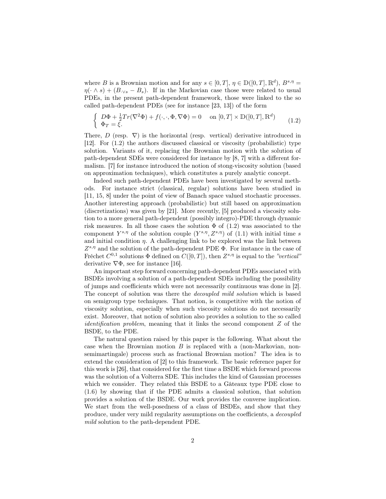where B is a Brownian motion and for any  $s \in [0, T]$ ,  $\eta \in \mathbb{D}([0, T], \mathbb{R}^d)$ ,  $B^{s, \eta} =$  $\eta(\cdot \wedge s) + (B_{\cdot \vee s} - B_s)$ . If in the Markovian case those were related to usual PDEs, in the present path-dependent framework, those were linked to the so called path-dependent PDEs (see for instance [23, 13]) of the form

$$
\begin{cases}\nD\Phi + \frac{1}{2}Tr(\nabla^2\Phi) + f(\cdot, \cdot, \Phi, \nabla\Phi) = 0 & \text{on } [0, T] \times \mathbb{D}([0, T], \mathbb{R}^d) \\
\Phi_T = \xi.\n\end{cases} \tag{1.2}
$$

There,  $D$  (resp.  $\nabla$ ) is the horizontal (resp. vertical) derivative introduced in [12]. For (1.2) the authors discussed classical or viscosity (probabilistic) type solution. Variants of it, replacing the Brownian motion with the solution of path-dependent SDEs were considered for instance by [8, 7] with a different formalism. [7] for instance introduced the notion of stong-viscosity solution (based on approximation techniques), which constitutes a purely analytic concept.

Indeed such path-dependent PDEs have been investigated by several methods. For instance strict (classical, regular) solutions have been studied in [11, 15, 8] under the point of view of Banach space valued stochastic processes. Another interesting approach (probabilistic) but still based on approximation (discretizations) was given by [21]. More recently, [5] produced a viscosity solution to a more general path-dependent (possibly integro)-PDE through dynamic risk measures. In all those cases the solution  $\Phi$  of (1.2) was associated to the component  $Y^{s,\eta}$  of the solution couple  $(Y^{s,\eta}, Z^{s,\eta})$  of  $(1.1)$  with initial time s and initial condition  $\eta$ . A challenging link to be explored was the link between  $Z^{s,\eta}$  and the solution of the path-dependent PDE  $\Phi$ . For instance in the case of Fréchet  $C^{0,1}$  solutions  $\Phi$  defined on  $C([0,T])$ , then  $Z^{s,\eta}$  is equal to the "vertical" derivative  $\nabla \Phi$ , see for instance [16].

An important step forward concerning path-dependent PDEs associated with BSDEs involving a solution of a path-dependent SDEs including the possibility of jumps and coefficients which were not necessarily continuous was done in [2]. The concept of solution was there the decoupled mild solution which is based on semigroup type techniques. That notion, is competitive with the notion of viscosity solution, especially when such viscosity solutions do not necessarily exist. Moreover, that notion of solution also provides a solution to the so called identification problem, meaning that it links the second component Z of the BSDE, to the PDE.

The natural question raised by this paper is the following. What about the case when the Brownian motion  $B$  is replaced with a (non-Markovian, nonsemimartingale) process such as fractional Brownian motion? The idea is to extend the consideration of [2] to this framework. The basic reference paper for this work is [26], that considered for the first time a BSDE which forward process was the solution of a Volterra SDE. This includes the kind of Gaussian processes which we consider. They related this BSDE to a Gâteaux type PDE close to (1.6) by showing that if the PDE admits a classical solution, that solution provides a solution of the BSDE. Our work provides the converse implication. We start from the well-posedness of a class of BSDEs, and show that they produce, under very mild regularity assumptions on the coefficients, a decoupled mild solution to the path-dependent PDE.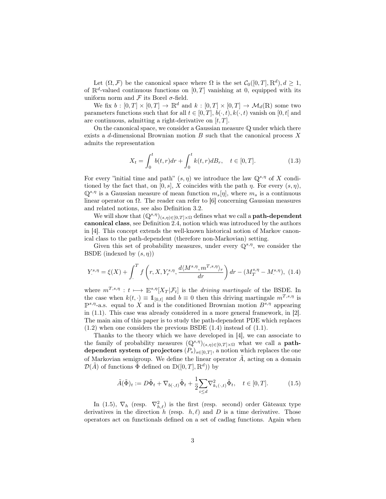Let  $(\Omega, \mathcal{F})$  be the canonical space where  $\Omega$  is the set  $\mathcal{C}_0([0, T], \mathbb{R}^d), d \geq 1$ , of  $\mathbb{R}^d$ -valued continuous functions on  $[0, T]$  vanishing at 0, equipped with its uniform norm and  $\mathcal F$  its Borel  $\sigma$ -field.

We fix  $b : [0, T] \times [0, T] \rightarrow \mathbb{R}^d$  and  $k : [0, T] \times [0, T] \rightarrow \mathcal{M}_d(\mathbb{R})$  some two parameters functions such that for all  $t \in [0, T]$ ,  $b(\cdot, t)$ ,  $k(\cdot, t)$  vanish on [0, t] and are continuous, admitting a right-derivative on  $[t, T]$ .

On the canonical space, we consider a Gaussian measure <sup>Q</sup> under which there exists a d-dimensional Brownian motion  $B$  such that the canonical process  $X$ admits the representation

$$
X_t = \int_0^t b(t, r) dr + \int_0^t k(t, r) dB_r, \quad t \in [0, T].
$$
 (1.3)

For every "initial time and path"  $(s, \eta)$  we introduce the law  $\mathbb{Q}^{s,\eta}$  of X conditioned by the fact that, on [0, s], X coincides with the path  $\eta$ . For every  $(s, \eta)$ ,  $\mathbb{Q}^{s,\eta}$  is a Gaussian measure of mean function  $m_s[\eta]$ , where  $m_s$  is a continuous linear operator on  $\Omega$ . The reader can refer to [6] concerning Gaussian measures and related notions, see also Definition 3.2.

We will show that  $(\mathbb{Q}^{s,\eta})_{(s,\eta)\in[0,T]\times\Omega}$  defines what we call a **path-dependent** canonical class, see Definition 2.4, notion which was introduced by the authors in [4]. This concept extends the well-known historical notion of Markov canonical class to the path-dependent (therefore non-Markovian) setting.

Given this set of probability measures, under every  $\mathbb{Q}^{s,\eta}$ , we consider the BSDE (indexed by  $(s, \eta)$ )

$$
Y^{s,\eta}_{\cdot} = \xi(X) + \int_{\cdot}^{T} f\left(r, X, Y^{s,\eta}_{r}, \frac{d\langle M^{s,\eta}, m^{T,s,\eta} \rangle_{r}}{dr}\right) dr - (M^{s,\eta}_{T} - M^{s,\eta}_{\cdot}), \tag{1.4}
$$

where  $m^{T,s,\eta}: t \longmapsto \mathbb{E}^{s,\eta}[X_T | \mathcal{F}_t]$  is the driving martingale of the BSDE. In the case when  $k(t, \cdot) \equiv \mathbb{1}_{[0,t]}$  and  $b \equiv 0$  then this driving martingale  $m^{T,s,\eta}$  is  $\mathbb{P}^{s,\eta}$ -a.s. equal to X and is the conditioned Brownian motion  $B^{s,\eta}$  appearing in (1.1). This case was already considered in a more general framework, in [2]. The main aim of this paper is to study the path-dependent PDE which replaces  $(1.2)$  when one considers the previous BSDE  $(1.4)$  instead of  $(1.1)$ .

Thanks to the theory which we have developed in [4], we can associate to the family of probability measures  $(\mathbb{Q}^{s,\eta})_{(s,\eta)\in[0,T]\times\Omega}$  what we call a **path**dependent system of projectors  $(P_s)_{s \in [0,T]}$ , a notion which replaces the one of Markovian semigroup. We define the linear operator  $\tilde{A}$ , acting on a domain  $\mathcal{D}(\tilde{A})$  of functions  $\tilde{\Phi}$  defined on  $\mathbb{D}([0,T], \mathbb{R}^d)$  by

$$
\tilde{A}(\tilde{\Phi})_t := D\tilde{\Phi}_t + \nabla_{b(\cdot,t)}\tilde{\Phi}_t + \frac{1}{2} \sum_{i \le d} \nabla^2_{k_i(\cdot,t)} \tilde{\Phi}_t, \quad t \in [0,T].
$$
\n(1.5)

In (1.5),  $\nabla_h$  (resp.  $\nabla_{h,\ell}^2$ ) is the first (resp. second) order Gâteaux type derivatives in the direction h (resp.  $h, \ell$ ) and D is a time derivative. Those operators act on functionals defined on a set of cadlag functions. Again when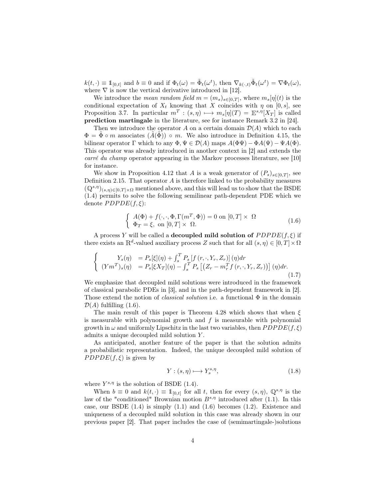$k(t, \cdot) \equiv \mathbb{1}_{[0,t]}$  and  $b \equiv 0$  and if  $\Phi_t(\omega) = \tilde{\Phi}_t(\omega^t)$ , then  $\nabla_{k(\cdot,t)} \tilde{\Phi}_t(\omega^t) = \nabla \Phi_t(\omega)$ , where  $\nabla$  is now the vertical derivative introduced in [12].

We introduce the *mean random field*  $m = (m_s)_{s \in [0,T]}$ , where  $m_s[\eta](t)$  is the conditional expectation of  $X_t$  knowing that X coincides with  $\eta$  on [0, s], see Proposition 3.7. In particular  $m^T : (s, \eta) \mapsto m_s[\eta](T) = \mathbb{E}^{s, \eta}[X_T]$  is called prediction martingale in the literature, see for instance Remark 3.2 in [24].

Then we introduce the operator A on a certain domain  $\mathcal{D}(A)$  which to each  $\Phi = \tilde{\Phi} \circ m$  associates  $(\tilde{A}(\tilde{\Phi})) \circ m$ . We also introduce in Definition 4.15, the bilinear operator Γ which to any  $\Phi, \Psi \in \mathcal{D}(A)$  maps  $A(\Phi\Psi) - \Phi A(\Psi) - \Psi A(\Phi)$ . This operator was already introduced in another context in [2] and extends the carré du champ operator appearing in the Markov processes literature, see [10] for instance.

We show in Proposition 4.12 that A is a weak generator of  $(P_s)_{s\in[0,T]}$ , see Definition 2.15. That operator  $A$  is therefore linked to the probability measures  $(\mathbb{Q}^{s,\eta})_{(s,n)\in[0,T]\times\Omega}$  mentioned above, and this will lead us to show that the BSDE (1.4) permits to solve the following semilinear path-dependent PDE which we denote  $PDPDE(f, \xi)$ :

$$
\begin{cases}\nA(\Phi) + f(\cdot, \cdot, \Phi, \Gamma(m^T, \Phi)) = 0 \text{ on } [0, T] \times \Omega \\
\Phi_T = \xi, \text{ on } [0, T] \times \Omega.\n\end{cases}
$$
\n(1.6)

A process Y will be called a **decoupled mild solution of**  $PDPDE(f, \xi)$  if there exists an  $\mathbb{R}^d$ -valued auxiliary process Z such that for all  $(s, \eta) \in [0, T] \times \Omega$ 

$$
\begin{cases}\nY_s(\eta) &= P_s[\xi](\eta) + \int_s^T P_s[f(r,\cdot,Y_r,Z_r)](\eta)dr \\
(Ym^T)_s(\eta) &= P_s[\xi X_T](\eta) - \int_s^T P_s\left[\left(Z_r - m_r^T f(r,\cdot,Y_r,Z_r)\right)\right](\eta)dr.\n\end{cases} \tag{1.7}
$$

We emphasize that decoupled mild solutions were introduced in the framework of classical parabolic PDEs in [3], and in the path-dependent framework in [2]. Those extend the notion of *classical solution* i.e. a functional  $\Phi$  in the domain  $\mathcal{D}(A)$  fulfilling  $(1.6)$ .

The main result of this paper is Theorem 4.28 which shows that when  $\xi$ is measurable with polynomial growth and  $f$  is measurable with polynomial growth in  $\omega$  and uniformly Lipschitz in the last two variables, then  $PDPDE(f, \xi)$ admits a unique decoupled mild solution Y .

As anticipated, another feature of the paper is that the solution admits a probabilistic representation. Indeed, the unique decoupled mild solution of  $PDPDE(f, \xi)$  is given by

$$
Y: (s, \eta) \longmapsto Y_s^{s, \eta}, \tag{1.8}
$$

where  $Y^{s,\eta}$  is the solution of BSDE (1.4).

When  $b \equiv 0$  and  $k(t, \cdot) \equiv \mathbb{1}_{[0,t]}$  for all t, then for every  $(s, \eta)$ ,  $\mathbb{Q}^{s, \eta}$  is the law of the "conditioned" Brownian motion  $B^{s,\eta}$  introduced after (1.1). In this case, our BSDE  $(1.4)$  is simply  $(1.1)$  and  $(1.6)$  becomes  $(1.2)$ . Existence and uniqueness of a decoupled mild solution in this case was already shown in our previous paper [2]. That paper includes the case of (semimartingale-)solutions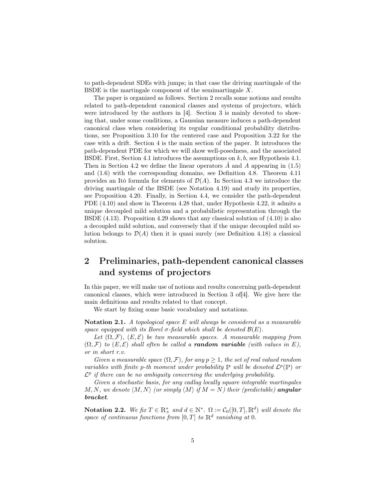to path-dependent SDEs with jumps; in that case the driving martingale of the BSDE is the martingale component of the semimartingale  $X$ .

The paper is organized as follows. Section 2 recalls some notions and results related to path-dependent canonical classes and systems of projectors, which were introduced by the authors in [4]. Section 3 is mainly devoted to showing that, under some conditions, a Gaussian measure induces a path-dependent canonical class when considering its regular conditional probability distributions, see Proposition 3.10 for the centered case and Proposition 3.22 for the case with a drift. Section 4 is the main section of the paper. It introduces the path-dependent PDE for which we will show well-posedness, and the associated BSDE. First, Section 4.1 introduces the assumptions on  $k, b$ , see Hypothesis 4.1. Then in Section 4.2 we define the linear operators  $A$  and  $A$  appearing in (1.5) and (1.6) with the corresponding domains, see Definition 4.8. Theorem 4.11 provides an Itô formula for elements of  $\mathcal{D}(A)$ . In Section 4.3 we introduce the driving martingale of the BSDE (see Notation 4.19) and study its properties, see Proposition 4.20. Finally, in Section 4.4, we consider the path-dependent PDE (4.10) and show in Theorem 4.28 that, under Hypothesis 4.22, it admits a unique decoupled mild solution and a probabilistic representation through the BSDE (4.13). Proposition 4.29 shows that any classical solution of (4.10) is also a decoupled mild solution, and conversely that if the unique decoupled mild solution belongs to  $\mathcal{D}(A)$  then it is quasi surely (see Definition 4.18) a classical solution.

# 2 Preliminaries, path-dependent canonical classes and systems of projectors

In this paper, we will make use of notions and results concerning path-dependent canonical classes, which were introduced in Section 3 of[4]. We give here the main definitions and results related to that concept.

We start by fixing some basic vocabulary and notations.

Notation 2.1. A topological space E will always be considered as a measurable space equipped with its Borel  $\sigma$ -field which shall be denoted  $\mathcal{B}(E)$ .

Let  $(\Omega, \mathcal{F})$ ,  $(E, \mathcal{E})$  be two measurable spaces. A measurable mapping from  $(\Omega, \mathcal{F})$  to  $(E, \mathcal{E})$  shall often be called a **random variable** (with values in E), or in short r.v.

Given a measurable space  $(\Omega, \mathcal{F})$ , for any  $p \geq 1$ , the set of real valued random variables with finite p-th moment under probability  $\mathbb P$  will be denoted  $\mathcal{L}^p(\mathbb P)$  or  $\mathcal{L}^p$  if there can be no ambiguity concerning the underlying probability.

Given a stochastic basis, for any cadlag locally square integrable martingales M, N, we denote  $\langle M, N \rangle$  (or simply  $\langle M \rangle$  if  $M = N$ ) their (predictable) angular bracket.

Notation 2.2. We fix  $T \in \mathbb{R}_+^*$  and  $d \in \mathbb{N}^*$ .  $\Omega := \mathcal{C}_0([0,T], \mathbb{R}^d)$  will denote the space of continuous functions from  $[0,T]$  to  $\mathbb{R}^d$  vanishing at 0.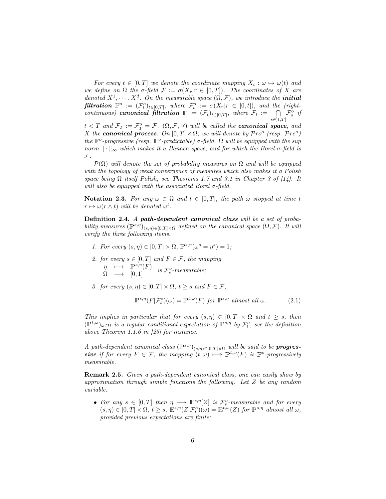For every  $t \in [0, T]$  we denote the coordinate mapping  $X_t : \omega \mapsto \omega(t)$  and we define on  $\Omega$  the  $\sigma$ -field  $\mathcal{F} := \sigma(X_r|r \in [0,T])$ . The coordinates of X are denoted  $X^1, \dots, X^d$ . On the measurable space  $(\Omega, \mathcal{F})$ , we introduce the **initial filtration**  $\mathbb{F}^o := (\mathcal{F}^o_t)_{t \in [0,T]},$  where  $\mathcal{F}^o_t := \sigma(X_r | r \in [0,t]),$  and the (rightcontinuous) canonical filtration  $\mathbb{F} := (\mathcal{F}_t)_{t \in [0,T]},$  where  $\mathcal{F}_t := \bigcap \mathcal{F}_s^o$  if  $s \in ]t,T]$ 

 $t < T$  and  $\mathcal{F}_T := \mathcal{F}_T^o = \mathcal{F}$ .  $(\Omega, \mathcal{F}, \mathbb{F})$  will be called the **canonical space**, and X the **canonical process**. On  $[0, T] \times \Omega$ , we will denote by  $\mathcal{P}ro^{\circ}$  (resp.  $\mathcal{P}re^{\circ}$ ) the  $\mathbb{F}^o$ -progressive (resp.  $\mathbb{F}^o$ -predictable)  $\sigma$ -field.  $\Omega$  will be equipped with the sup norm  $\|\cdot\|_{\infty}$  which makes it a Banach space, and for which the Borel  $\sigma$ -field is  ${\mathcal F}.$ 

 $\mathcal{P}(\Omega)$  will denote the set of probability measures on  $\Omega$  and will be equipped with the topology of weak convergence of measures which also makes it a Polish space being  $\Omega$  itself Polish, see Theorems 1.7 and 3.1 in Chapter 3 of [14]. It will also be equipped with the associated Borel  $\sigma$ -field.

Notation 2.3. For any  $\omega \in \Omega$  and  $t \in [0,T]$ , the path  $\omega$  stopped at time t  $r \mapsto \omega(r \wedge t)$  will be denoted  $\omega^t$ .

Definition 2.4. A path-dependent canonical class will be a set of probability measures  $(\mathbb{P}^{s,\eta})_{(s,\eta)\in[0,T]\times\Omega}$  defined on the canonical space  $(\Omega,\mathcal{F})$ . It will verify the three following items.

- 1. For every  $(s, \eta) \in [0, T] \times \Omega$ ,  $\mathbb{P}^{s, \eta}(\omega^s = \eta^s) = 1$ ;
- 2. for every  $s \in [0, T]$  and  $F \in \mathcal{F}$ , the mapping  $\begin{array}{ccc}\n\eta & \longmapsto & \mathbb{P}^{s,\eta}(F) \\
\Omega & \longrightarrow & [0,1] \n\end{array}$  is  $\mathcal{F}^o_s$ -measurable;
- 3. for every  $(s, \eta) \in [0, T] \times \Omega$ ,  $t \geq s$  and  $F \in \mathcal{F}$ ,

$$
\mathbb{P}^{s,\eta}(F|\mathcal{F}_t^o)(\omega) = \mathbb{P}^{t,\omega}(F) \text{ for } \mathbb{P}^{s,\eta} \text{ almost all } \omega.
$$
 (2.1)

This implies in particular that for every  $(s, \eta) \in [0, T] \times \Omega$  and  $t \geq s$ , then  $(\mathbb{P}^{t,\omega})_{\omega \in \Omega}$  is a regular conditional expectation of  $\mathbb{P}^{s,\eta}$  by  $\mathcal{F}^o_t$ , see the definition above Theorem 1.1.6 in [25] for instance.

A path-dependent canonical class  $(\mathbb{P}^{s,\eta})_{(s,\eta)\in[0,T]\times\Omega}$  will be said to be **progres**sive if for every  $F \in \mathcal{F}$ , the mapping  $(t, \omega) \mapsto P^{t, \omega}(F)$  is  $\mathbb{F}^o$ -progressively measurable.

Remark 2.5. Given a path-dependent canonical class, one can easily show by approximation through simple functions the following. Let Z be any random variable.

• For any  $s \in [0,T]$  then  $\eta \mapsto \mathbb{E}^{s,\eta}[Z]$  is  $\mathcal{F}^o_s$ -measurable and for every  $(s, \eta) \in [0, T] \times \Omega$ ,  $t \geq s$ ,  $\mathbb{E}^{s, \eta}(Z | \mathcal{F}_t^o)(\omega) = \mathbb{E}^{t, \omega}(Z)$  for  $\mathbb{P}^{s, \eta}$  almost all  $\omega$ , provided previous expectations are finite;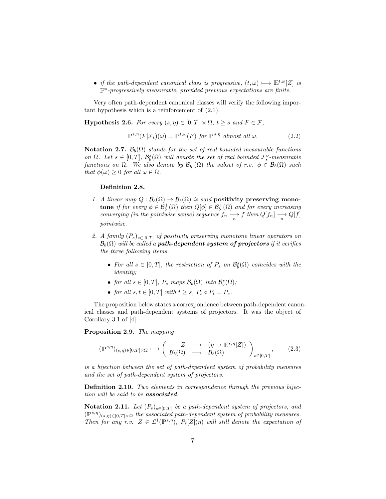• if the path-dependent canonical class is progressive,  $(t, \omega) \mapsto E^{t, \omega}[Z]$  is  $\mathbb{F}^o$ -progressively measurable, provided previous expectations are finite.

Very often path-dependent canonical classes will verify the following important hypothesis which is a reinforcement of (2.1).

**Hypothesis 2.6.** For every  $(s, \eta) \in [0, T] \times \Omega$ ,  $t \geq s$  and  $F \in \mathcal{F}$ ,

$$
\mathbb{P}^{s,\eta}(F|\mathcal{F}_t)(\omega) = \mathbb{P}^{t,\omega}(F) \text{ for } \mathbb{P}^{s,\eta} \text{ almost all } \omega.
$$
 (2.2)

Notation 2.7.  $\mathcal{B}_b(\Omega)$  stands for the set of real bounded measurable functions on  $\Omega$ . Let  $s \in [0,T]$ ,  $\mathcal{B}_b^s(\Omega)$  will denote the set of real bounded  $\mathcal{F}_s^o$ -measurable functions on  $\Omega$ . We also denote by  $\mathcal{B}^+_b(\Omega)$  the subset of r.v.  $\phi \in \mathcal{B}_b(\Omega)$  such that  $\phi(\omega) \geq 0$  for all  $\omega \in \Omega$ .

#### Definition 2.8.

- 1. A linear map  $Q : \mathcal{B}_b(\Omega) \to \mathcal{B}_b(\Omega)$  is said positivity preserving mono**tone** if for every  $\phi \in \mathcal{B}_b^+(\Omega)$  then  $Q[\phi] \in \mathcal{B}_b^+(\Omega)$  and for every increasing converging (in the pointwise sense) sequence  $f_n \longrightarrow f$  then  $Q[f_n] \longrightarrow Q[f]$ pointwise.
- 2. A family  $(P_s)_{s\in[0,T]}$  of positivity preserving monotone linear operators on  $\mathcal{B}_b(\Omega)$  will be called a **path-dependent system of projectors** if it verifies the three following items.
	- For all  $s \in [0,T]$ , the restriction of  $P_s$  on  $\mathcal{B}_b^s(\Omega)$  coincides with the identity;
	- for all  $s \in [0, T]$ ,  $P_s$  maps  $\mathcal{B}_b(\Omega)$  into  $\mathcal{B}_b^s(\Omega)$ ;
	- for all  $s, t \in [0, T]$  with  $t \geq s$ ,  $P_s \circ P_t = P_s$ .

The proposition below states a correspondence between path-dependent canonical classes and path-dependent systems of projectors. It was the object of Corollary 3.1 of [4].

Proposition 2.9. The mapping

$$
(\mathbb{P}^{s,\eta})_{(s,\eta)\in[0,T]\times\Omega}\longmapsto\left(\begin{array}{ccc}Z&\longmapsto&(\eta\mapsto\mathbb{E}^{s,\eta}[Z])\\ \mathcal{B}_b(\Omega)&\longrightarrow&\mathcal{B}_b(\Omega)\end{array}\right)_{s\in[0,T]},\qquad(2.3)
$$

is a bijection between the set of path-dependent system of probability measures and the set of path-dependent system of projectors.

Definition 2.10. Two elements in correspondence through the previous bijection will be said to be associated.

Notation 2.11. Let  $(P_s)_{s \in [0,T]}$  be a path-dependent system of projectors, and  $(\mathbb{P}^{s,\eta})_{(s,\eta)\in[0,T]\times\Omega}$  the associated path-dependent system of probability measures. Then for any r.v.  $Z \in \mathcal{L}^1(\mathbb{P}^{s,\eta}), P_s[Z](\eta)$  will still denote the expectation of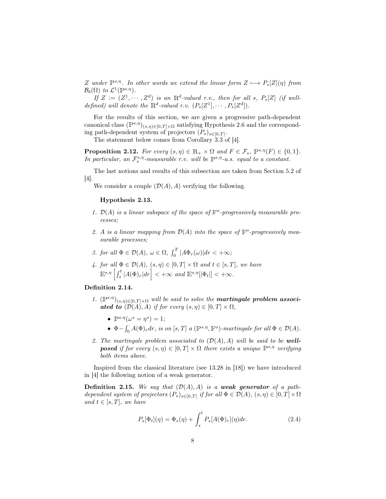Z under  $\mathbb{P}^{s,\eta}$ . In other words we extend the linear form  $Z \mapsto P_s[Z](\eta)$  from  $\mathcal{B}_b(\Omega)$  to  $\mathcal{L}^1(\mathbb{P}^{s,\eta}).$ 

If  $Z := (Z^1, \dots, Z^d)$  is an  $\mathbb{R}^d$ -valued r.v., then for all s,  $P_s[Z]$  (if welldefined) will denote the  $\mathbb{R}^d$ -valued r.v.  $(P_s[Z^1], \cdots, P_s[Z^d])$ .

For the results of this section, we are given a progressive path-dependent canonical class  $(\mathbb{P}^{s,\eta})_{(s,\eta)\in[0,T]\times\Omega}$  satisfying Hypothesis 2.6 and the corresponding path-dependent system of projectors  $(P_s)_{s \in [0,T]}$ .

The statement below comes from Corollary 3.3 of [4].

**Proposition 2.12.** For every  $(s, \eta) \in \mathbb{R}_+ \times \Omega$  and  $F \in \mathcal{F}_s$ ,  $\mathbb{P}^{s,\eta}(F) \in \{0,1\}$ . In particular, an  $\mathcal{F}_s^{s,\eta}$ -measurable r.v. will be  $\mathbb{P}^{s,\eta}$ -a.s. equal to a constant.

The last notions and results of this subsection are taken from Section 5.2 of [4].

We consider a couple  $(\mathcal{D}(A), A)$  verifying the following.

#### Hypothesis 2.13.

- 1.  $\mathcal{D}(A)$  is a linear subspace of the space of  $\mathbb{F}^o$ -progressively measurable processes;
- 2. A is a linear mapping from  $\mathcal{D}(A)$  into the space of  $\mathbb{F}^o$ -progressively measurable processes;
- 3. for all  $\Phi \in \mathcal{D}(A)$ ,  $\omega \in \Omega$ ,  $\int_0^T |A\Phi_r(\omega)| dr < +\infty$ ;
- 4. for all  $\Phi \in \mathcal{D}(A)$ ,  $(s, \eta) \in [0, T] \times \Omega$  and  $t \in [s, T]$ , we have  $\mathbb{E}^{s,\eta}\left[\int_s^t |A(\Phi)_r|dr\right]<+\infty$  and  $\mathbb{E}^{s,\eta}[|\Phi_t|]<+\infty$ .

#### Definition 2.14.

- 1.  $(\mathbb{P}^{s,\eta})_{(s,\eta)\in[0,T]\times\Omega}$  will be said to solve the **martingale problem associated to**  $(D(A), A)$  if for every  $(s, \eta) \in [0, T] \times \Omega$ ,
	- $\mathbb{P}^{s,\eta}(\omega^s=\eta^s)=1;$
	- $\Phi \int_0^{\cdot} A(\Phi) r dr$ , is on  $[s, T]$  a ( $\mathbb{P}^{s,\eta}, \mathbb{F}^o$ )-martingale for all  $\Phi \in \mathcal{D}(A)$ .
- 2. The martingale problem associated to  $(D(A), A)$  will be said to be well**posed** if for every  $(s, \eta) \in [0, T] \times \Omega$  there exists a unique  $\mathbb{P}^{s,\eta}$  verifying both items above.

Inspired from the classical literature (see 13.28 in [18]) we have introduced in [4] the following notion of a weak generator.

**Definition 2.15.** We say that  $(\mathcal{D}(A), A)$  is a weak generator of a pathdependent system of projectors  $(P_s)_{s \in [0,T]}$  if for all  $\Phi \in \mathcal{D}(A)$ ,  $(s, \eta) \in [0,T] \times \Omega$ and  $t \in [s, T]$ , we have

$$
P_s[\Phi_t](\eta) = \Phi_s(\eta) + \int_s^t P_s[A(\Phi)_r](\eta) dr.
$$
\n(2.4)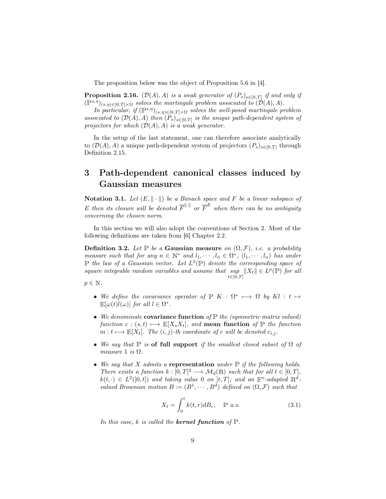The proposition below was the object of Proposition 5.6 in [4].

**Proposition 2.16.**  $(\mathcal{D}(A), A)$  is a weak generator of  $(P_s)_{s \in [0,T]}$  if and only if  $(\mathbb{P}^{s,\eta})_{(s,\eta)\in[0,T]\times\Omega}$  solves the martingale problem associated to  $(\mathcal{D}(A),A)$ .

In particular, if  $(\mathbb{P}^{s,\eta})_{(s,\eta)\in[0,T]\times\Omega}$  solves the well-posed martingale problem associated to  $(\mathcal{D}(A), A)$  then  $(P_s)_{s \in [0,T]}$  is the unique path-dependent system of projectors for which  $(\mathcal{D}(A), A)$  is a weak generator.

In the setup of the last statement, one can therefore associate analytically to  $(\mathcal{D}(A), A)$  a unique path-dependent system of projectors  $(P_s)_{s\in[0,T]}$  through Definition 2.15.

# 3 Path-dependent canonical classes induced by Gaussian measures

Notation 3.1. Let  $(E, \|\cdot\|)$  be a Banach space and F be a linear subspace of E then its closure will be denoted  $\overline{F}^{\|\cdot\|}$  or  $\overline{F}^E$  when there can be no ambiguity concerning the chosen norm.

In this section we will also adopt the conventions of Section 2. Most of the following definitions are taken from [6] Chapter 2.2.

**Definition 3.2.** Let P be a Gaussian measure on  $(\Omega, \mathcal{F})$ , i.e. a probability measure such that for any  $n \in \mathbb{N}^*$  and  $l_1, \dots, l_n \in \Omega^*$ ,  $(l_1, \dots, l_n)$  has under  $\mathbb P$  the law of a Gaussian vector. Let  $L^2(\mathbb P)$  denote the corresponding space of square integrable random variables and assume that sup  $||X_t|| \in L^p(\mathbb{P})$  for all  $t\in[0,T]$ 

 $p \in \mathbb{N}$ .

- We define the covariance operator of  $\mathbb{P}$  K :  $\Omega^* \mapsto \Omega$  by Kl : t  $\mapsto$  $\mathbb{E}[\omega(t)l(\omega)]$  for all  $l \in \Omega^*$ .
- We denominate covariance function of  $\mathbb P$  the (symmetric matrix valued) function  $c : (s, t) \longmapsto E[X_sX_t]$ , and **mean function** of P the function  $m: t \longmapsto E[X_t]$ . The  $(i, j)$ -th coordinate of c will be denoted  $c_{i,j}$ .
- We say that  $\mathbb P$  is of full support if the smallest closed subset of  $\Omega$  of measure 1 is  $\Omega$ .
- We say that  $X$  admits a representation under  $\mathbb P$  if the following holds. There exists a function  $k : [0, T]^2 \longrightarrow \mathcal{M}_d(\mathbb{R})$  such that for all  $t \in [0, T]$ ,  $k(t,\cdot) \in L^2([0,t])$  and taking value 0 on  $]t,T]$ ; and an  $\mathbb{F}^o$ -adapted  $\mathbb{R}^d$ valued Brownian motion  $B := (B^1, \dots, B^d)$  defined on  $(\Omega, \mathcal{F})$  such that

$$
X_t = \int_0^t k(t, r) dB_r, \quad \mathbb{P} \ a.s. \tag{3.1}
$$

In this case, k is called the **kernel function** of  $\mathbb{P}$ .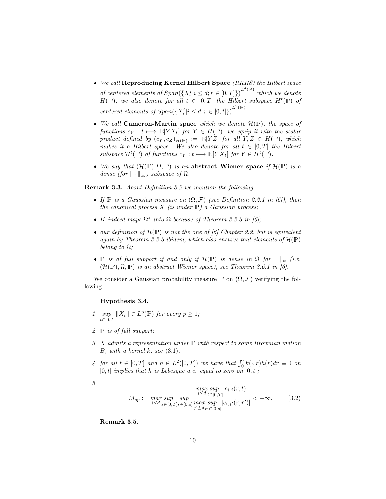- We call Reproducing Kernel Hilbert Space (RKHS) the Hilbert space of centered elements of  $\overline{Span(\lbrace X_r^i | i \leq d; r \in [0,T] \rbrace)}^{L^2(\mathbb{P})}$  which we denote  $H(\mathbb{P})$ , we also denote for all  $t \in [0,T]$  the Hilbert subspace  $H^t(\mathbb{P})$  of centered elements of  $\overline{Span(\{X_r^i | i \leq d; r \in [0, t]\})}^{L^2(\mathbb{P})}$ .
- We call Cameron-Martin space which we denote  $\mathcal{H}(\mathbb{P})$ , the space of functions  $c_Y : t \longmapsto E[Y X_t]$  for  $Y \in H(\mathbb{P})$ , we equip it with the scalar product defined by  $(c_Y, c_Z)_{\mathcal{H}(\mathbb{P})} := \mathbb{E}[YZ]$  for all  $Y, Z \in H(\mathbb{P})$ , which makes it a Hilbert space. We also denote for all  $t \in [0, T]$  the Hilbert subspace  $\mathcal{H}^t(\mathbb{P})$  of functions  $c_Y : t \longmapsto \mathbb{E}[Y X_t]$  for  $Y \in H^t(\mathbb{P})$ .
- We say that  $(\mathcal{H}(\mathbb{P}), \Omega, \mathbb{P})$  is an abstract Wiener space if  $\mathcal{H}(\mathbb{P})$  is a dense (for  $\|\cdot\|_{\infty}$ ) subspace of  $\Omega$ .

Remark 3.3. About Definition 3.2 we mention the following.

- If  $\mathbb P$  is a Gaussian measure on  $(\Omega, \mathcal F)$  (see Definition 2.2.1 in [6]), then the canonical process  $X$  (is under  $\mathbb{P}$ ) a Gaussian process;
- K indeed maps  $\Omega^*$  into  $\Omega$  because of Theorem 3.2.3 in [6];
- our definition of  $\mathcal{H}(\mathbb{P})$  is not the one of [6] Chapter 2.2, but is equivalent again by Theorem 3.2.3 ibidem, which also ensures that elements of  $\mathcal{H}(\mathbb{P})$ belong to  $\Omega$ ;
- P is of full support if and only if  $\mathcal{H}(\mathbb{P})$  is dense in  $\Omega$  for  $\|\ \|_\infty$  (i.e.  $(\mathcal{H}(\mathbb{P}), \Omega, \mathbb{P})$  is an abstract Wiener space), see Theorem 3.6.1 in [6].

We consider a Gaussian probability measure  $\mathbb P$  on  $(\Omega, \mathcal F)$  verifying the following.

#### Hypothesis 3.4.

- 1. sup  $||X_t|| \in L^p(\mathbb{P})$  for every  $p \geq 1$ ;  $t \in [0,T]$
- 2.  $\mathbb P$  is of full support;
- 3. X admits a representation under <sup>P</sup> with respect to some Brownian motion B, with a kernel k, see  $(3.1)$ .
- 4. for all  $t \in [0,T]$  and  $h \in L^2([0,T])$  we have that  $\int_0^R k(\cdot,r)h(r)dr \equiv 0$  on  $[0, t]$  implies that h is Lebesgue a.e. equal to zero on  $[0, t]$ ;
- 5.

$$
M_{op} := \max_{i \le d} \sup_{s \in [0,T]r \in [0,s]} \max_{j \le d} \sup_{t \in [0,T]} |c_{i,j}(r,t)|
$$
  

$$
M_{op} := \max_{i \le d} \sup_{s \in [0,T]r \in [0,s]} \max_{j' \le d_{r'} \in [0,s]} |c_{i,j'}(r,r')| < +\infty.
$$
 (3.2)

Remark 3.5.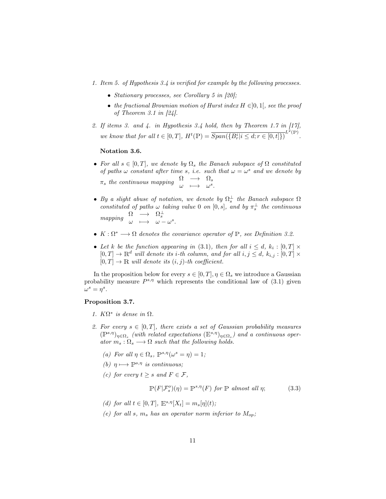- 1. Item 5. of Hypothesis 3.4 is verified for example by the following processes.
	- Stationary processes, see Corollary 5 in [20];
	- the fractional Brownian motion of Hurst index  $H \in ]0,1[$ , see the proof of Theorem 3.1 in [24].
- 2. If items 3. and 4. in Hypothesis 3.4 hold, then by Theorem 1.7 in  $[17]$ , we know that for all  $t \in [0, T]$ ,  $H^t(\mathbb{P}) = \overline{Span(\{B_r^i | i \leq d; r \in [0, t]\})}^{L^2(\mathbb{P})}$ .

#### Notation 3.6.

- For all  $s \in [0,T]$ , we denote by  $\Omega_s$  the Banach subspace of  $\Omega$  constituted of paths  $\omega$  constant after time s, i.e. such that  $\omega = \omega^s$  and we denote by  $\pi_s$  the continuous mapping  $\begin{array}{ccc} \Omega & \longrightarrow & \Omega_s\ \omega & \longmapsto & \omega^s. \end{array}$
- By a slight abuse of notation, we denote by  $\Omega_s^{\perp}$  the Banach subspace  $\Omega$ constituted of paths  $\omega$  taking value 0 on [0, s], and by  $\pi_s^{\perp}$  the continuous  $\begin{array}{rcl} \mathit{mapping} & \Omega & \longrightarrow & \Omega_{s}^{\perp} \ & \omega & \longmapsto & \omega - \omega^{s}. \end{array}$
- $K: \Omega^* \longrightarrow \Omega$  denotes the covariance operator of  $\mathbb{P}$ , see Definition 3.2.
- Let k be the function appearing in (3.1), then for all  $i \leq d$ ,  $k_i : [0, T] \times$  $[0, T] \to \mathbb{R}^d$  will denote its *i*-th column, and for all  $i, j \leq d$ ,  $k_{i,j} : [0, T] \times$  $[0, T] \rightarrow \mathbb{R}$  will denote its  $(i, j)$ -th coefficient.

In the proposition below for every  $s \in [0, T], \eta \in \Omega_s$  we introduce a Gaussian probability measure  $P^{s,\eta}$  which represents the conditional law of (3.1) given  $\omega^s = \eta^s.$ 

#### Proposition 3.7.

- 1.  $K\Omega^*$  is dense in  $\Omega$ .
- 2. For every  $s \in [0, T]$ , there exists a set of Gaussian probability measures  $(\mathbb{P}^{s,\eta})_{\eta \in \Omega_s}$  (with related expectations  $(\mathbb{E}^{s,\eta})_{\eta \in \Omega_s}$ ) and a continuous operator  $m_s : \Omega_s \longrightarrow \Omega$  such that the following holds.
	- (a) For all  $\eta \in \Omega_s$ ,  $\mathbb{P}^{s,\eta}(\omega^s = \eta) = 1$ ;
	- (b)  $\eta \mapsto \mathbb{P}^{s,\eta}$  is continuous;
	- (c) for every  $t \geq s$  and  $F \in \mathcal{F}$ ,

$$
\mathbb{P}(F|\mathcal{F}_s^o)(\eta) = \mathbb{P}^{s,\eta}(F) \text{ for } \mathbb{P} \text{ almost all } \eta; \tag{3.3}
$$

- (d) for all  $t \in [0,T]$ ,  $\mathbb{E}^{s,\eta}[X_t] = m_s[\eta](t)$ ;
- (e) for all s,  $m_s$  has an operator norm inferior to  $M_{op}$ ;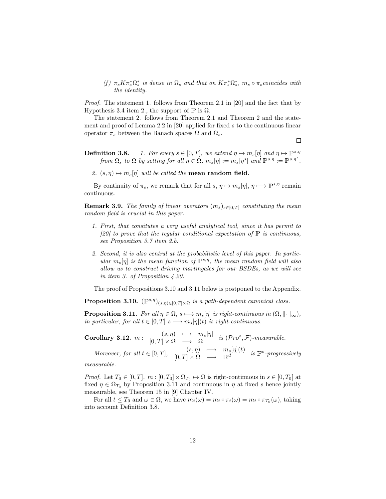(f)  $\pi_s K \pi_s^* \Omega_s^*$  is dense in  $\Omega_s$  and that on  $K \pi_s^* \Omega_s^*$ ,  $m_s \circ \pi_s$  coincides with the identity.

Proof. The statement 1. follows from Theorem 2.1 in [20] and the fact that by Hypothesis 3.4 item 2., the support of  $\mathbb P$  is  $\Omega$ .

The statement 2. follows from Theorem 2.1 and Theorem 2 and the statement and proof of Lemma 2.2 in [20] applied for fixed s to the continuous linear operator  $\pi_s$  between the Banach spaces  $\Omega$  and  $\Omega_s.$ 

 $\Box$ 

- **Definition 3.8.** 1. For every  $s \in [0, T]$ , we extend  $\eta \mapsto m_s[\eta]$  and  $\eta \mapsto \mathbb{P}^{s,\eta}$ from  $\Omega_s$  to  $\Omega$  by setting for all  $\eta \in \Omega$ ,  $m_s[\eta] := m_s[\eta^s]$  and  $\mathbb{P}^{s,\eta} := \mathbb{P}^{s,\eta^s}$ .
	- 2.  $(s, \eta) \mapsto m_s[\eta]$  will be called the **mean random field**.

By continuity of  $\pi_s$ , we remark that for all  $s, \eta \mapsto m_s[\eta], \eta \mapsto \mathbb{P}^{s,\eta}$  remain continuous.

**Remark 3.9.** The family of linear operators  $(m_s)_{s \in [0,T]}$  constituting the mean random field is crucial in this paper.

- 1. First, that consitutes a very useful analytical tool, since it has permit to [20] to prove that the regular conditional expectation of  $\mathbb P$  is continuous, see Proposition 3.7 item 2.b.
- 2. Second, it is also central at the probabilistic level of this paper. In particular  $m_s[\eta]$  is the mean function of  $\mathbb{P}^{s,\eta}$ , the mean random field will also allow us to construct driving martingales for our BSDEs, as we will see in item 3. of Proposition 4.20.

The proof of Propositions 3.10 and 3.11 below is postponed to the Appendix.

**Proposition 3.10.**  $(\mathbb{P}^{s,\eta})_{(s,\eta)\in[0,T]\times\Omega}$  is a path-dependent canonical class.

**Proposition 3.11.** For all  $\eta \in \Omega$ ,  $s \mapsto m_s[\eta]$  is right-continuous in  $(\Omega, \|\cdot\|_{\infty})$ , in particular, for all  $t \in [0, T]$  s  $\longmapsto m_s[\eta](t)$  is right-continuous.

Corollary 3.12.  $m: \begin{array}{ccc} (s, \eta) & \longmapsto & m_s[\eta] \end{array}$  $[0, T] \times \Omega \longrightarrow \Omega$  is  $(\mathcal{P}ro^o, \mathcal{F})$ -measurable.

Moreover, for all  $t \in [0, T]$ ,  $(s, \eta) \longmapsto m_s[\eta](t)$  $[0, T] \times \Omega \longrightarrow \mathbb{R}^d$  is  $\mathbb{F}^o$ -progressively

measurable.

*Proof.* Let  $T_0 \in [0, T]$ .  $m : [0, T_0] \times \Omega_{T_0} \to \Omega$  is right-continuous in  $s \in [0, T_0]$  at fixed  $\eta \in \Omega_{T_0}$  by Proposition 3.11 and continuous in  $\eta$  at fixed s hence jointly measurable, see Theorem 15 in [9] Chapter IV.

For all  $t \leq T_0$  and  $\omega \in \Omega$ , we have  $m_t(\omega) = m_t \circ \pi_t(\omega) = m_t \circ \pi_{T_0}(\omega)$ , taking into account Definition 3.8.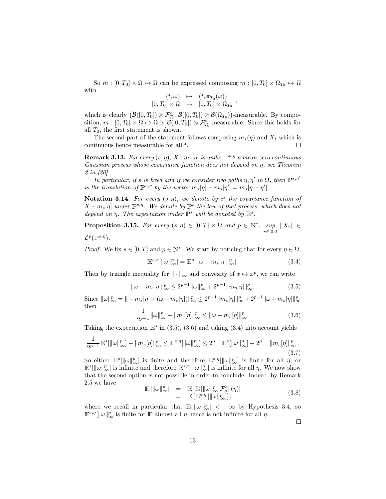So  $m : [0, T_0] \times \Omega \mapsto \Omega$  can be expressed composing  $m : [0, T_0] \times \Omega_{T_0} \mapsto \Omega$ with  $\sqrt{N}$ 

$$
(t,\omega) \rightarrow (t, \pi_{T_0}(\omega))
$$
  

$$
[0,T_0] \times \Omega \rightarrow [0,T_0] \times \Omega_{T_0}
$$

which is clearly  $(\mathcal{B}([0,T_0]) \otimes \mathcal{F}_{T_0}^o, \mathcal{B}([0,T_0]) \otimes \mathcal{B}(\Omega_{T_0}))$ -measurable. By composition,  $m: [0, T_0] \times \Omega \mapsto \Omega$  is  $\mathcal{B}([0, T_0]) \otimes \mathcal{F}_{T_0}^o$ -measurable. Since this holds for all  $T_0$ , the first statement is shown.

The second part of the statement follows composing  $m_s(\eta)$  and  $X_t$  which is continuous hence measurable for all t.  $\Box$ 

**Remark 3.13.** For every  $(s, \eta)$ ,  $X - m_s[\eta]$  is under  $\mathbb{P}^{s,\eta}$  a mean-zero continuous Gaussian process whose covariance function does not depend on η, see Theorem 2 in [20].

In particular, if s is fixed and if we consider two paths  $\eta$ ,  $\eta'$  in  $\Omega$ , then  $\mathbb{P}^{s,\eta'}$ is the translation of  $\mathbb{P}^{s,\eta}$  by the vector  $m_s[\eta] - m_s[\eta'] = m_s[\eta - \eta']$ .

Notation 3.14. For every  $(s, \eta)$ , we denote by  $c^s$  the covariance function of  $X - m_s[\eta]$  under  $\mathbb{P}^{s,\eta}$ . We denote by  $\mathbb{P}^s$  the law of that process, which does not depend on  $\eta$ . The expectation under  $\mathbb{P}^s$  will be denoted by  $\mathbb{E}^s$ .

**Proposition 3.15.** For every  $(s, \eta) \in [0, T] \times \Omega$  and  $p \in \mathbb{N}^*$ , sup  $\sup_{r\in[0,T]}\|X_r\|\in$  $\mathcal{L}^p(\mathbb{P}^{s,\eta}).$ 

*Proof.* We fix  $s \in [0, T]$  and  $p \in \mathbb{N}^*$ . We start by noticing that for every  $\eta \in \Omega$ ,

$$
\mathbb{E}^{s,\eta}[\|\omega\|_{\infty}^p] = \mathbb{E}^s[\|\omega + m_s[\eta]\|_{\infty}^p].\tag{3.4}
$$

,

Then by triangle inequality for  $\|\cdot\|_{\infty}$  and convexity of  $x \mapsto x^p$ , we can write

$$
\|\omega + m_s[\eta]\|_{\infty}^p \le 2^{p-1} \|\omega\|_{\infty}^p + 2^{p-1} \|m_s[\eta]\|_{\infty}^p. \tag{3.5}
$$

Since  $\|\omega\|_{\infty}^p = \| - m_s[\eta] + (\omega + m_s[\eta])\|_{\infty}^p \leq 2^{p-1} \|m_s[\eta]\|_{\infty}^p + 2^{p-1} \|\omega + m_s[\eta]\|_{\infty}^p$ then

$$
\frac{1}{2^{p-1}} \|\omega\|_{\infty}^p - \|m_s[\eta]\|_{\infty}^p \le \|\omega + m_s[\eta]\|_{\infty}^p.
$$
\n(3.6)

Taking the expectation  $\mathbb{E}^s$  in (3.5), (3.6) and taking (3.4) into account yields

$$
\frac{1}{2^{p-1}} \mathbb{E}^s [\|\omega\|_{\infty}^p] - \|m_s[\eta]\|_{\infty}^p \le \mathbb{E}^{s,\eta} [\|\omega\|_{\infty}^p] \le 2^{p-1} \mathbb{E}^s [\|\omega\|_{\infty}^p] + 2^{p-1} \|m_s[\eta]\|_{\infty}^p. \tag{3.7}
$$

So either  $\mathbb{E}^{s}[\|\omega\|_{\infty}^p]$  is finite and therefore  $\mathbb{E}^{s,\eta}[\|\omega\|_{\infty}^p]$  is finite for all  $\eta$ , or  $\mathbb{E}^{s}[\|\omega\|_{\infty}^p]$  is infinite and therefore  $\mathbb{E}^{s,\eta}[\|\omega\|_{\infty}^p]$  is infinite for all  $\eta$ . We now show that the second option is not possible in order to conclude. Indeed, by Remark 2.5 we have

$$
\mathbb{E}[\|\omega\|_{\infty}^p] = \mathbb{E}[\mathbb{E}[\|\omega\|_{\infty}^p | \mathcal{F}_s^o](\eta)] \n= \mathbb{E}[\mathbb{E}^{s,\eta}[\|\omega\|_{\infty}^p]],
$$
\n(3.8)

where we recall in particular that  $\mathbb{E}[\|\omega\|_{\infty}^p]<+\infty$  by Hypothesis 3.4, so  $\mathbb{E}^{s,\eta}[\|\omega\|_{\infty}^p]$  is finite for P almost all  $\eta$  hence is not infinite for all  $\eta$ .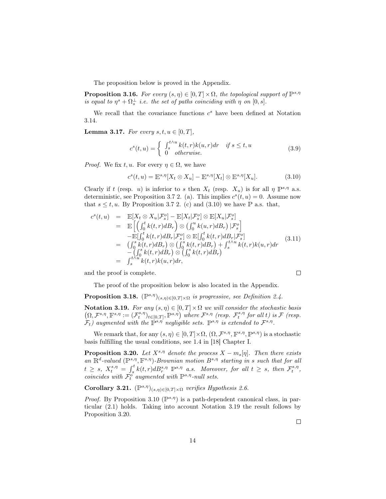The proposition below is proved in the Appendix.

**Proposition 3.16.** For every  $(s, \eta) \in [0, T] \times \Omega$ , the topological support of  $\mathbb{P}^{s, \eta}$ is equal to  $\eta^s + \Omega_s^{\perp}$  i.e. the set of paths coinciding with  $\eta$  on  $[0, s]$ .

We recall that the covariance functions  $c^s$  have been defined at Notation 3.14.

**Lemma 3.17.** For every  $s, t, u \in [0, T]$ ,

$$
c^{s}(t,u) = \begin{cases} \int_{s}^{t \wedge u} k(t,r)k(u,r)dr & \text{if } s \leq t, u \\ 0 & \text{otherwise.} \end{cases}
$$
 (3.9)

*Proof.* We fix t, u. For every  $\eta \in \Omega$ , we have

$$
c^{s}(t, u) = \mathbb{E}^{s, \eta}[X_t \otimes X_u] - \mathbb{E}^{s, \eta}[X_t] \otimes \mathbb{E}^{s, \eta}[X_u].
$$
\n(3.10)

Clearly if t (resp. u) is inferior to s then  $X_t$  (resp.  $X_u$ ) is for all  $\eta \mathbb{P}^{s,\eta}$  a.s. deterministic, see Proposition 3.7 2. (a). This implies  $c^{s}(t, u) = 0$ . Assume now that  $s \le t, u$ . By Proposition 3.7 2. (c) and (3.10) we have P a.s. that,

$$
c^{s}(t, u) = \mathbb{E}[X_{t} \otimes X_{u} | \mathcal{F}_{s}^{o}] - \mathbb{E}[X_{t} | \mathcal{F}_{s}^{o}] \otimes \mathbb{E}[X_{u} | \mathcal{F}_{s}^{o}]
$$
  
\n
$$
= \mathbb{E}\left[\left(\int_{0}^{t} k(t, r) d_s\right) \otimes \left(\int_{0}^{u} k(u, r) d_s\right) | \mathcal{F}_{s}^{o}\right]
$$
  
\n
$$
- \mathbb{E}[ \int_{0}^{t} k(t, r) d_s\left| \mathcal{F}_{s}^{o}\right] \otimes \mathbb{E}[ \int_{0}^{t} k(t, r) d_s\left| \mathcal{F}_{s}^{o}\right|]
$$
  
\n
$$
= \left(\int_{0}^{s} k(t, r) d_s\right) \otimes \left(\int_{0}^{s} k(t, r) d_s\right) + \int_{s}^{t \wedge u} k(t, r) k(u, r) dr
$$
  
\n
$$
- \left(\int_{0}^{s} k(t, r) d_s\right) \otimes \left(\int_{0}^{s} k(t, r) d_s\right)
$$
  
\n
$$
= \int_{s}^{t \wedge u} k(t, r) k(u, r) dr,
$$
  
\n(3.11)

and the proof is complete.

The proof of the proposition below is also located in the Appendix.

**Proposition 3.18.**  $(\mathbb{P}^{s,\eta})_{(s,\eta)\in[0,T]\times\Omega}$  is progressive, see Definition 2.4.

Notation 3.19. For any  $(s, \eta) \in [0, T] \times \Omega$  we will consider the stochastic basis  $\left(\Omega,\mathcal{F}^{s,\eta},\mathbb{F}^{s,\eta}:= (\mathcal{F}^{s,\eta}_t)_{t\in[0,T]},\mathbb{P}^{s,\eta}\right) \ where \ \mathcal{F}^{s,\eta} \ \ (resp. \ \ \mathcal{F}^{s,\eta}_t \ \ for \ all \ t) \ is \ \mathcal{F} \ \ (resp. \ \ \mathcal{F}^{s,\eta}_t \ \ is \ \mathcal{F} \ \ (resp. \ \ t\in[0,T],\mathbb{P}^{s,\eta} \ \ )$  $\mathcal{F}_t$ ) augmented with the  $\mathbb{P}^{s,\eta}$  negligible sets.  $\mathbb{P}^{s,\eta}$  is extended to  $\mathcal{F}^{s,\eta}$ .

We remark that, for any  $(s, \eta) \in [0, T] \times \Omega$ ,  $(\Omega, \mathcal{F}^{s, \eta}, \mathbb{F}^{s, \eta}, \mathbb{P}^{s, \eta})$  is a stochastic basis fulfilling the usual conditions, see 1.4 in [18] Chapter I.

**Proposition 3.20.** Let  $X^{s,\eta}$  denote the process  $X - m_s[\eta]$ . Then there exists an  $\mathbb{R}^d$ -valued  $(\mathbb{P}^{s,\eta}, \mathbb{F}^{s,\eta})$ -Brownian motion  $B^{s,\eta}$  starting in s such that for all  $t \geq s$ ,  $X_t^{s,\eta} = \int_s^t k(t,r)dB_r^{s,\eta} \ \mathbb{P}^{s,\eta}$  a.s. Moreover, for all  $t \geq s$ , then  $\mathcal{F}_t^{s,\eta}$ , coincides with  $\mathcal{F}_t^o$  augmented with  $\mathbb{P}^{s,\eta}$ -null sets.

Corollary 3.21.  $(\mathbb{P}^{s,\eta})_{(s,\eta)\in[0,T]\times\Omega}$  verifies Hypothesis 2.6.

*Proof.* By Proposition 3.10 ( $\mathbb{P}^{s,\eta}$ ) is a path-dependent canonical class, in particular (2.1) holds. Taking into account Notation 3.19 the result follows by Proposition 3.20.

 $\Box$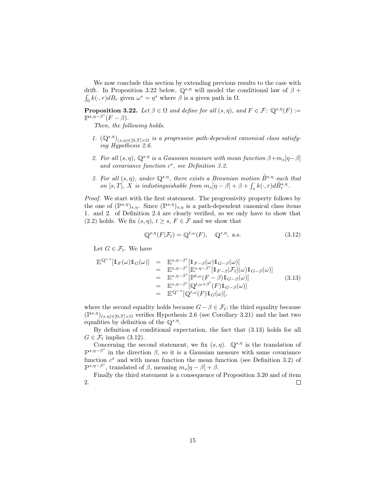We now conclude this section by extending previous results to the case with drift. In Proposition 3.22 below,  $\mathbb{Q}^{s,\eta}$  will model the conditional law of  $\beta$  +  $\int_0^{\infty} k(\cdot, r) d_s^r$  given  $\omega^s = \eta^s$  where  $\beta$  is a given path in  $\Omega$ .

**Proposition 3.22.** Let  $\beta \in \Omega$  and define for all  $(s, \eta)$ , and  $F \in \mathcal{F}$ :  $\mathbb{Q}^{s,\eta}(F)$ :=  $\mathbb{P}^{s,\eta-\beta^s}(F-\beta).$ 

Then, the following holds.

- 1.  $(\mathbb{Q}^{s,\eta})_{(s,\eta)\in[0,T]\times\Omega}$  is a progressive path-dependent canonical class satisfying Hypothesis 2.6.
- 2. For all  $(s, \eta)$ ,  $\mathbb{Q}^{s, \eta}$  is a Gaussian measure with mean function  $\beta + m_s[\eta \beta]$ and covariance function  $c^s$ , see Definition 3.2.
- 3. For all  $(s, \eta)$ , under  $\mathbb{Q}^{s,\eta}$ , there exists a Brownian motion  $\tilde{B}^{s,\eta}$  such that on [s, T], X is indistinguishable from  $m_s[\eta - \beta] + \beta + \int_s^{\cdot} k(\cdot, r) d\tilde{B}^{s, \eta}_r$ .

Proof. We start with the first statement. The progressivity property follows by the one of  $(\mathbb{P}^{s,\eta})_{s,\eta}$ . Since  $(\mathbb{P}^{s,\eta})_{s,\eta}$  is a path-dependent canonical class items 1. and 2. of Definition 2.4 are clearly verified, so we only have to show that (2.2) holds. We fix  $(s, \eta), t \geq s, F \in \mathcal{F}$  and we show that

$$
\mathbb{Q}^{s,\eta}(F|\mathcal{F}_t) = \mathbb{Q}^{t,\omega}(F), \quad \mathbb{Q}^{s,\eta}, \text{ a.s.}
$$
\n(3.12)

Let  $G \in \mathcal{F}_t$ . We have

$$
\mathbb{E}^{\mathbb{Q}^{s,\eta}}[\mathbb{1}_F(\omega)\mathbb{1}_G(\omega)] = \mathbb{E}^{s,\eta-\beta^s}[\mathbb{1}_{F-\beta}(\omega)\mathbb{1}_{G-\beta}(\omega)] \n= \mathbb{E}^{s,\eta-\beta^s}[\mathbb{E}^{s,\eta-\beta^s}[\mathbb{1}_{F-\beta}|\mathcal{F}_t](\omega)\mathbb{1}_{G-\beta}(\omega)] \n= \mathbb{E}^{s,\eta-\beta^s}[\mathbb{P}^{t,\omega}(F-\beta)\mathbb{1}_{G-\beta}(\omega)] \n= \mathbb{E}^{s,\eta-\beta^s}[\mathbb{Q}^{t,\omega+\beta^t}(F)\mathbb{1}_{G-\beta}(\omega)] \n= \mathbb{E}^{\mathbb{Q}^{s,\eta}}[\mathbb{Q}^{t,\omega}(F)\mathbb{1}_G(\omega)],
$$
\n(3.13)

where the second equality holds because  $G - \beta \in \mathcal{F}_t$ ; the third equality because  $(\mathbb{P}^{s,\eta})_{(s,\eta)\in[0,T]\times\Omega}$  verifies Hypothesis 2.6 (see Corollary 3.21) and the last two equalities by definition of the  $\mathbb{Q}^{s,\eta}$ .

By definition of conditional expectation, the fact that (3.13) holds for all  $G \in \mathcal{F}_t$  implies (3.12).

Concerning the second statement, we fix  $(s, \eta)$ .  $\mathbb{Q}^{s, \eta}$  is the translation of  $\mathbb{P}^{s,\eta-\beta^s}$  in the direction  $\beta$ , so it is a Gaussian measure with same covariance function  $c^s$  and with mean function the mean function (see Definition 3.2) of  $\mathbb{P}^{s,\eta-\beta^s}$ , translated of  $\beta$ , meaning  $m_s[\eta-\beta]+\beta$ .

Finally the third statement is a consequence of Proposition 3.20 and of item 2.  $\Box$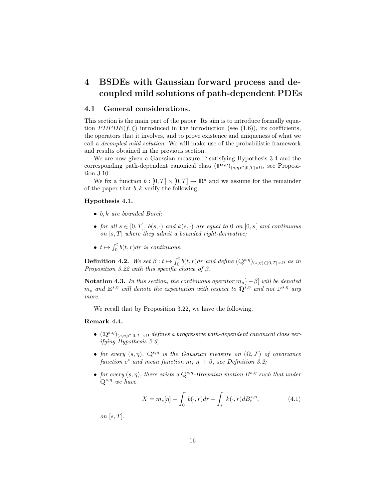## 4 BSDEs with Gaussian forward process and decoupled mild solutions of path-dependent PDEs

#### 4.1 General considerations.

This section is the main part of the paper. Its aim is to introduce formally equation  $PDPDE(f, \xi)$  introduced in the introduction (see (1.6)), its coefficients, the operators that it involves, and to prove existence and uniqueness of what we call a decoupled mild solution. We will make use of the probabilistic framework and results obtained in the previous section.

We are now given a Gaussian measure <sup>P</sup> satisfying Hypothesis 3.4 and the corresponding path-dependent canonical class  $(\mathbb{P}^{s,\eta})_{(s,\eta)\in[0,T]\times\Omega}$ , see Proposition 3.10.

We fix a function  $b : [0, T] \times [0, T] \to \mathbb{R}^d$  and we assume for the remainder of the paper that  $b, k$  verify the following.

#### Hypothesis 4.1.

- $\bullet$  b, k are bounded Borel;
- for all  $s \in [0,T]$ ,  $b(s, \cdot)$  and  $k(s, \cdot)$  are equal to 0 on  $[0, s]$  and continuous on  $[s, T]$  where they admit a bounded right-derivative;
- $t \mapsto \int_0^t b(t, r) dr$  is continuous.

**Definition 4.2.** We set  $\beta: t \mapsto \int_0^t b(t, r) dr$  and define  $(\mathbb{Q}^{s,\eta})_{(s,\eta) \in [0,T] \times \Omega}$  as in Proposition 3.22 with this specific choice of  $\beta$ .

Notation 4.3. In this section, the continuous operator  $m_s[\cdot - \beta]$  will be denoted  $m_s$  and  $E^{s,\eta}$  will denote the expectation with respect to  $\mathbb{Q}^{s,\eta}$  and not  $\mathbb{P}^{s,\eta}$  any more.

We recall that by Proposition 3.22, we have the following.

#### Remark 4.4.

- $(\mathbb{Q}^{s,\eta})_{(s,\eta)\in[0,T]\times\Omega}$  defines a progressive path-dependent canonical class verifying Hypothesis 2.6;
- for every  $(s, \eta)$ ,  $\mathbb{Q}^{s, \eta}$  is the Gaussian measure on  $(\Omega, \mathcal{F})$  of covariance function  $c^s$  and mean function  $m_s[\eta] + \beta$ , see Definition 3.2;
- for every  $(s, \eta)$ , there exists a  $\mathbb{Q}^{s,\eta}$ -Brownian motion  $B^{s,\eta}$  such that under  $\mathbb{Q}^{s,\eta}$  we have

$$
X = m_s[\eta] + \int_0^\cdot b(\cdot, r) dr + \int_s^\cdot k(\cdot, r) dB_r^{s, \eta}, \tag{4.1}
$$

on  $[s, T]$ .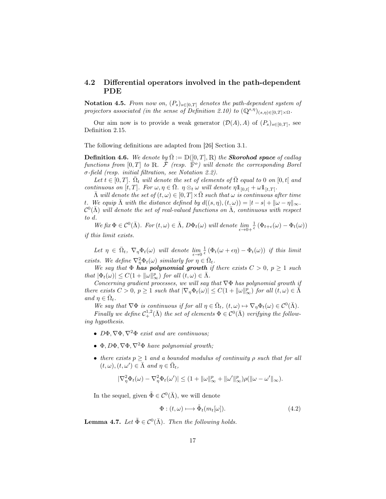#### 4.2 Differential operators involved in the path-dependent PDE

Notation 4.5. From now on,  $(P_s)_{s \in [0,T]}$  denotes the path-dependent system of projectors associated (in the sense of Definition 2.10) to  $(\mathbb{Q}^{s,\eta})_{(s,\eta)\in[0,T]\times\Omega}$ .

Our aim now is to provide a weak generator  $(\mathcal{D}(A), A)$  of  $(P_s)_{s \in [0,T]}$ , see Definition 2.15.

The following definitions are adapted from [26] Section 3.1.

**Definition 4.6.** We denote by  $\overline{\Omega} := \mathbb{D}([0, T], \mathbb{R})$  the **Skorohod space** of cadlag functions from  $[0,T]$  to R.  $\bar{\mathcal{F}}$  (resp.  $\dot{\bar{\mathbb{F}}^o}$ ) will denote the corresponding Borel σ-field (resp. initial filtration, see Notation 2.2).

Let  $t \in [0,T]$ .  $\bar{\Omega}_t$  will denote the set of elements of  $\bar{\Omega}$  equal to 0 on  $[0,t]$  and continuous on  $[t, T]$ . For  $\omega, \eta \in \overline{\Omega}$ .  $\eta \otimes_t \omega$  will denote  $\eta 1_{[0,t[} + \omega 1_{[t,T[}$ .

 $\bar{\Lambda}$  will denote the set of  $(t,\omega) \in [0,T] \times \bar{\Omega}$  such that  $\omega$  is continuous after time t. We equip  $\overline{\Lambda}$  with the distance defined by  $d((s, \eta), (t, \omega)) = |t - s| + ||\omega - \eta||_{\infty}$ .  $\mathcal{C}^0(\bar\Lambda)$  will denote the set of real-valued functions on  $\bar\Lambda$ , continuous with respect to d.

We fix  $\Phi \in C^0(\bar{\Lambda})$ . For  $(t, \omega) \in \bar{\Lambda}$ ,  $D\Phi_t(\omega)$  will denote  $\lim_{\epsilon \to 0+}$  $\frac{1}{\epsilon} \left( \Phi_{t+\epsilon}(\omega) - \Phi_t(\omega) \right)$ if this limit exists.

Let  $\eta \in \overline{\Omega}_t$ ,  $\nabla_{\eta} \Phi_t(\omega)$  will denote  $\lim_{\epsilon \to 0}$  $\frac{1}{\epsilon} \left( \Phi_t(\omega + \epsilon \eta) - \Phi_t(\omega) \right)$  if this limit exists. We define  $\nabla^2_{\eta} \Phi_t(\omega)$  similarly for  $\eta \in \overline{\Omega}_t$ .

We say that  $\Phi$  has polynomial growth if there exists  $C > 0$ ,  $p \ge 1$  such that  $|\Phi_t(\omega)| \leq C(1 + ||\omega||_{\infty}^p)$  for all  $(t, \omega) \in \overline{\Lambda}$ .

Concerning gradient processes, we will say that  $\nabla \Phi$  has polynomial growth if there exists  $C > 0$ ,  $p \ge 1$  such that  $|\nabla_{\eta} \Phi_t(\omega)| \le C(1 + ||\omega||_{\infty}^p)$  for all  $(t, \omega) \in \overline{\Lambda}$ and  $\eta \in \overline{\Omega}_t$ .

We say that  $\nabla \Phi$  is continuous if for all  $\eta \in \overline{\Omega}_t$ ,  $(t, \omega) \mapsto \nabla_{\eta} \Phi_t(\omega) \in C^0(\overline{\Lambda})$ .

Finally we define  $C^{1,2}_+(\bar\Lambda)$  the set of elements  $\Phi\in\mathcal{C}^0(\bar\Lambda)$  verifying the following hypothesis.

- $D\Phi, \nabla \Phi, \nabla^2 \Phi$  exist and are continuous;
- Φ,  $D\Phi$ ,  $\nabla \Phi$ ,  $\nabla^2 \Phi$  have polynomial growth;
- there exists  $p > 1$  and a bounded modulus of continuity  $\rho$  such that for all  $(t, \omega), (t, \omega') \in \overline{\Lambda} \text{ and } \eta \in \overline{\Omega}_t,$

$$
|\nabla^2_{\eta}\Phi_t(\omega) - \nabla^2_{\eta}\Phi_t(\omega')| \leq (1 + \|\omega\|_{\infty}^p + \|\omega'\|_{\infty}^p)\rho(\|\omega - \omega'\|_{\infty}).
$$

In the sequel, given  $\tilde{\Phi} \in \mathcal{C}^0(\bar{\Lambda})$ , we will denote

$$
\Phi: (t,\omega) \longmapsto \tilde{\Phi}_t(m_t[\omega]). \tag{4.2}
$$

**Lemma 4.7.** Let  $\tilde{\Phi} \in C^0(\bar{\Lambda})$ . Then the following holds.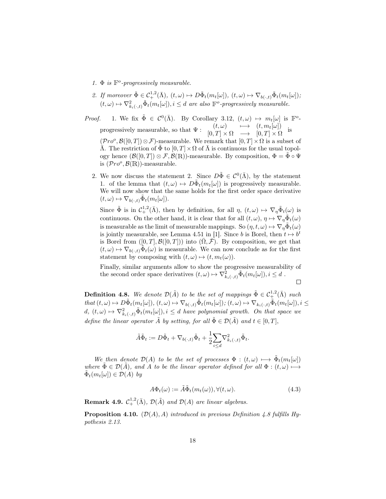- 1.  $\Phi$  is  $\mathbb{F}^o$ -progressively measurable.
- 2. If moreover  $\tilde{\Phi} \in C^{1,2}_+(\bar{\Lambda}), (t,\omega) \mapsto D\tilde{\Phi}_t(m_t[\omega]), (t,\omega) \mapsto \nabla_{b(\cdot,t)}\tilde{\Phi}_t(m_t[\omega]);$  $(t, \omega) \mapsto \nabla^2_{k_i(\cdot, t)} \tilde{\Phi}_t(m_t[\omega]), i \leq d$  are also  $\mathbb{F}^o$ -progressively measurable.

*Proof.* 1. We fix  $\tilde{\Phi} \in C^0(\bar{\Lambda})$ . By Corollary 3.12,  $(t, \omega) \mapsto m_t[\omega]$  is  $\mathbb{F}^o$ progressively measurable, so that  $\Psi: \begin{array}{ccc} (t,\omega) & \longmapsto & (t,m_t[\omega]) \ (t,\omega) & \longmapsto & [0,T]\cup\Omega \end{array}$  $[0, T] \times \Omega \longrightarrow [0, T] \times \Omega$ is  $(\mathcal{P}ro^o, \mathcal{B}([0,T])\otimes \mathcal{F})$ -measurable. We remark that  $[0,T]\times\Omega$  is a subset of  $\bar{\Lambda}$ . The restriction of  $\tilde{\Phi}$  to  $[0, T] \times \Omega$  of  $\bar{\Lambda}$  is continuous for the usual topology hence  $(\mathcal{B}([0,T]) \otimes \mathcal{F}, \mathcal{B}(\mathbb{R}))$ -measurable. By composition,  $\Phi = \Phi \circ \Psi$ is  $(\mathcal{P}ro^o, \mathcal{B}(\mathbb{R}))$ -measurable.

2. We now discuss the statement 2. Since  $D\tilde{\Phi} \in \mathcal{C}^0(\bar{\Lambda})$ , by the statement 1. of the lemma that  $(t, \omega) \mapsto D\tilde{\Phi}_t(m_t[\omega])$  is progressively measurable. We will now show that the same holds for the first order space derivative  $(t, \omega) \mapsto \nabla_{b(\cdot, t)} \tilde{\Phi}_t(m_t[\omega]).$ 

Since  $\tilde{\Phi}$  is in  $\mathcal{C}_+^{1,2}(\bar{\Lambda})$ , then by definition, for all  $\eta$ ,  $(t,\omega) \mapsto \nabla_\eta \tilde{\Phi}_t(\omega)$  is continuous. On the other hand, it is clear that for all  $(t, \omega)$ ,  $\eta \mapsto \nabla_{\eta} \tilde{\Phi}_t(\omega)$ is measurable as the limit of measurable mappings. So  $(\eta, t, \omega) \mapsto \nabla_{\eta} \tilde{\Phi}_t(\omega)$ is jointly measurable, see Lemma 4.51 in [1]. Since b is Borel, then  $t \mapsto b^t$ is Borel from  $([0, T], \mathcal{B}([0, T]))$  into  $(\overline{\Omega}, \overline{\mathcal{F}})$ . By composition, we get that  $(t,\omega) \mapsto \nabla_{b(\cdot,t)}\tilde{\Phi}_t(\omega)$  is measurable. We can now conclude as for the first statement by composing with  $(t, \omega) \mapsto (t, m_t(\omega))$ .

Finally, similar arguments allow to show the progressive measurability of the second order space derivatives  $(t, \omega) \mapsto \nabla^2_{k_i(\cdot, t)} \tilde{\Phi}_t(m_t[\omega]), i \leq d$ .

 $\Box$ 

**Definition 4.8.** We denote  $\mathcal{D}(\tilde{A})$  to be the set of mappings  $\tilde{\Phi} \in C^{1,2}_+(\bar{A})$  such that  $(t, \omega) \mapsto D\tilde{\Phi}_t(m_t[\omega]), (t, \omega) \mapsto \nabla_{b(\cdot,t)}\tilde{\Phi}_t(m_t[\omega]); (t, \omega) \mapsto \nabla_{k_i(\cdot,t)}\tilde{\Phi}_t(m_t[\omega]), i \leq$  $d, (t, \omega) \mapsto \nabla^2_{k_i(\cdot,t)} \tilde{\Phi}_t(m_t[\omega]), i \leq d$  have polynomial growth. On that space we define the linear operator  $\tilde{A}$  by setting, for all  $\tilde{\Phi} \in \mathcal{D}(\tilde{A})$  and  $t \in [0, T]$ ,

$$
\tilde{A}\tilde{\Phi}_t := D\tilde{\Phi}_t + \nabla_{b(\cdot,t)}\tilde{\Phi}_t + \frac{1}{2}\sum_{i\leq d} \nabla^2_{k_i(\cdot,t)}\tilde{\Phi}_t.
$$

We then denote  $\mathcal{D}(A)$  to be the set of processes  $\Phi : (t, \omega) \longmapsto \tilde{\Phi}_t(m_t[\omega])$ where  $\Phi \in \mathcal{D}(\tilde{A})$ , and A to be the linear operator defined for all  $\Phi : (t, \omega) \longmapsto$  $\tilde{\Phi}_t(m_t[\omega]) \in \mathcal{D}(A)$  by

$$
A\Phi_t(\omega) := \tilde{A}\tilde{\Phi}_t(m_t(\omega)), \forall (t, \omega). \tag{4.3}
$$

**Remark 4.9.**  $C^{1,2}_+(\bar{\Lambda})$ ,  $\mathcal{D}(\tilde{A})$  and  $\mathcal{D}(A)$  are linear algebras.

**Proposition 4.10.** ( $\mathcal{D}(A), A$ ) introduced in previous Definition 4.8 fulfills Hypothesis 2.13.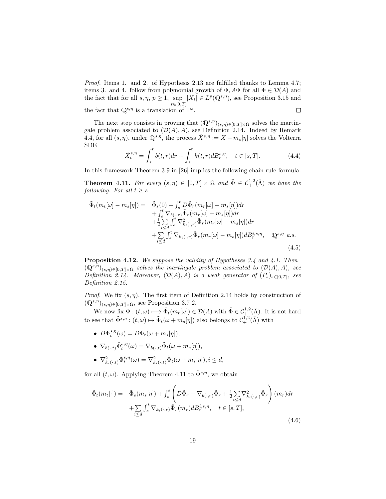Proof. Items 1. and 2. of Hypothesis 2.13 are fulfilled thanks to Lemma 4.7; items 3. and 4. follow from polynomial growth of  $\Phi$ ,  $A\Phi$  for all  $\Phi \in \mathcal{D}(A)$  and the fact that for all  $s, \eta, p \ge 1$ , sup  $|X_t| \in L^p(\mathbb{Q}^{s,\eta})$ , see Proposition 3.15 and  $t \in [0,T]$ the fact that  $\mathbb{Q}^{s,\eta}$  is a translation of  $\mathbb{P}^s$ .  $\Box$ 

The next step consists in proving that  $(\mathbb{Q}^{s,\eta})_{(s,\eta)\in[0,T]\times\Omega}$  solves the martingale problem associated to  $(\mathcal{D}(A), A)$ , see Definition 2.14. Indeed by Remark 4.4, for all  $(s, \eta)$ , under  $\mathbb{Q}^{s,\eta}$ , the process  $\tilde{X}^{s,\eta} := X - m_s[\eta]$  solves the Volterra SDE

$$
\tilde{X}_t^{s,\eta} = \int_s^t b(t,r)dr + \int_s^t k(t,r)dB_r^{s,\eta}, \quad t \in [s,T].
$$
\n(4.4)

In this framework Theorem 3.9 in [26] implies the following chain rule formula.

**Theorem 4.11.** For every  $(s, \eta) \in [0, T] \times \Omega$  and  $\tilde{\Phi} \in C^{1,2}_+(\bar{\Lambda})$  we have the following. For all  $t \geq s$ 

$$
\tilde{\Phi}_t(m_t[\omega]-m_s[\eta]) = \tilde{\Phi}_s(0) + \int_s^t D\tilde{\Phi}_r(m_r[\omega]-m_s[\eta])dr \n+ \int_s^t \nabla_{b(\cdot,r)} \tilde{\Phi}_r(m_r[\omega]-m_s[\eta])dr \n+ \frac{1}{2} \sum_{i \le d} \int_s^t \nabla_{k_i(\cdot,r)}^2 \tilde{\Phi}_r(m_r[\omega]-m_s[\eta])dr \n+ \sum_{i \le d} \int_s^t \nabla_{k_i(\cdot,r)} \tilde{\Phi}_r(m_r[\omega]-m_s[\eta])dB_r^{i,s,\eta}, \quad \mathbb{Q}^{s,\eta} \quad a.s.
$$
\n(4.5)

Proposition 4.12. We suppose the validity of Hypotheses 3.4 and 4.1. Then  $(\mathbb{Q}^{s,\eta})_{(s,\eta)\in[0,T]\times\Omega}$  solves the martingale problem associated to  $(\mathcal{D}(A),A)$ , see Definition 2.14. Moreover,  $(\mathcal{D}(A), A)$  is a weak generator of  $(P_s)_{s \in [0,T]}$ , see Definition 2.15.

*Proof.* We fix  $(s, \eta)$ . The first item of Definition 2.14 holds by construction of  $(\mathbb{Q}^{s,\eta})_{(s,\eta)\in[0,T]\times\Omega}$ , see Proposition 3.7 2.

We now fix  $\Phi: (t, \omega) \longmapsto \tilde{\Phi}_t(m_t[\omega]) \in \mathcal{D}(A)$  with  $\tilde{\Phi} \in C^{1,2}_+(\bar{\Lambda})$ . It is not hard to see that  $\tilde{\Phi}^{s,\eta} : (t,\omega) \mapsto \tilde{\Phi}_t(\omega + m_s[\eta])$  also belongs to  $C^{1,2}_+(\bar{\Lambda})$  with

- $D\tilde{\Phi}_t^{s,\eta}(\omega) = D\tilde{\Phi}_t(\omega + m_s[\eta]),$
- $\nabla_{b(\cdot,t)} \tilde{\Phi}_t^{s,\eta}(\omega) = \nabla_{b(\cdot,t)} \tilde{\Phi}_t(\omega + m_s[\eta]),$
- $\nabla^2_{k_i(\cdot,t)} \tilde{\Phi}_t^{s,\eta}(\omega) = \nabla^2_{k_i(\cdot,t)} \tilde{\Phi}_t(\omega + m_s[\eta]), i \leq d,$

for all  $(t, \omega)$ . Applying Theorem 4.11 to  $\tilde{\Phi}^{s,\eta}$ , we obtain

$$
\tilde{\Phi}_t(m_t[\cdot]) = \tilde{\Phi}_s(m_s[\eta]) + \int_s^t \left( D\tilde{\Phi}_r + \nabla_{b(\cdot,r)} \tilde{\Phi}_r + \frac{1}{2} \sum_{i \le d} \nabla_{k_i(\cdot,r)}^2 \tilde{\Phi}_r \right) (m_r) dr \n+ \sum_{i \le d} \int_s^t \nabla_{k_i(\cdot,r)} \tilde{\Phi}_r(m_r) dB_r^{i,s,\eta}, \quad t \in [s,T],
$$
\n(4.6)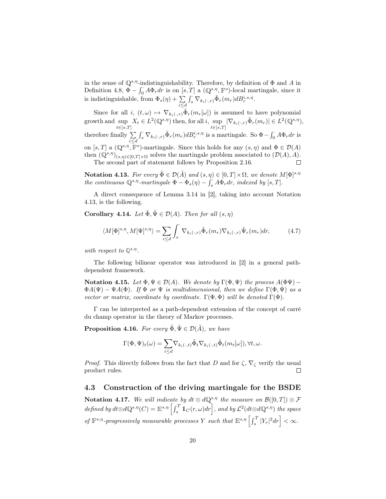in the sense of  $\mathbb{Q}^{s,\eta}$ -indistinguishability. Therefore, by definition of  $\Phi$  and A in Definition 4.8,  $\Phi - \int_0^{\cdot} A \Phi_r dr$  is on  $[s, T]$  a  $(\mathbb{Q}^{s,\eta}, \mathbb{F}^o)$ -local martingale, since it is indistinguishable, from  $\Phi_s(\eta) + \sum_{i \le d}$  $\int_s^{\cdot} \nabla_{k_i(\cdot,r)} \tilde{\Phi}_r(m_r) dB_r^{i,s,\eta}.$ 

Since for all  $i, (t, \omega) \mapsto \nabla_{k_i(\cdot, r)} \tilde{\Phi}_r(m_r[\omega])$  is assumed to have polynomial  $\sup_{t \in [s,T]} |\nabla_{k_i(\cdot,r)} \tilde{\Phi}_r(m_r)| \in L^2(\mathbb{Q}^{s,\eta}),$  $\sup_{t\in[s,T]} X_t \in L^2(\mathbb{Q}^{s,\eta})$  then, for all i, sup<br> $\sup_{t\in[s,T]}$ growth and sup  $\int_s \nabla_{k_i(\cdot,r)} \tilde{\Phi}_r(m_r) d B^{i,s,\eta}_r$  is a martingale. So  $\Phi - \int_0^{\cdot} A \Phi_r dr$  is therefore finally  $\Sigma$ i≤d on  $[s, T]$  a  $(\mathbb{Q}^{s,\eta}, \mathbb{F}^o)$ -martingale. Since this holds for any  $(s, \eta)$  and  $\Phi \in \mathcal{D}(A)$ then  $(\mathbb{Q}^{s,\eta})_{(s,\eta)\in[0,T]\times\Omega}$  solves the martingale problem associated to  $(\mathcal{D}(A), A)$ .  $\Box$ 

The second part of statement follows by Proposition 2.16.

**Notation 4.13.** For every  $\tilde{\Phi} \in \mathcal{D}(\tilde{A})$  and  $(s, \eta) \in [0, T] \times \Omega$ , we denote  $M[\Phi]^{s, \eta}$ the continuous  $\mathbb{Q}^{s,\eta}$ -martingale  $\Phi - \Phi_s(\eta) - \int_s^t A \Phi_r dr$ , indexed by [s, T].

A direct consequence of Lemma 3.14 in [2], taking into account Notation 4.13, is the following.

**Corollary 4.14.** Let  $\tilde{\Phi}, \tilde{\Psi} \in \mathcal{D}(A)$ . Then for all  $(s, \eta)$ 

$$
\langle M[\Phi]^{s,\eta}, M[\Psi]^{s,\eta} \rangle = \sum_{i \le d} \int_s \nabla_{k_i(\cdot,r)} \tilde{\Phi}_r(m_r) \nabla_{k_i(\cdot,r)} \tilde{\Psi}_r(m_r) dr, \tag{4.7}
$$

with respect to  $\mathbb{Q}^{s,\eta}$ .

The following bilinear operator was introduced in [2] in a general pathdependent framework.

**Notation 4.15.** Let  $\Phi, \Psi \in \mathcal{D}(A)$ . We denote by  $\Gamma(\Phi, \Psi)$  the process  $A(\Phi\Psi)$  –  $\Phi A(\Psi) - \Psi A(\Phi)$ . If  $\Phi$  or  $\Psi$  is multidimensional, then we define  $\Gamma(\Phi, \Psi)$  as a vector or matrix, coordinate by coordinate.  $\Gamma(\Phi, \Phi)$  will be denoted  $\Gamma(\Phi)$ .

Γ can be interpreted as a path-dependent extension of the concept of carré du champ operator in the theory of Markov processes.

**Proposition 4.16.** For every  $\tilde{\Phi}$ ,  $\tilde{\Psi} \in \mathcal{D}(\tilde{A})$ , we have

$$
\Gamma(\Phi, \Psi)_t(\omega) = \sum_{i \leq d} \nabla_{k_i(\cdot, t)} \tilde{\Phi}_t \nabla_{k_i(\cdot, t)} \tilde{\Phi}_t(m_t[\omega]), \forall t, \omega.
$$

*Proof.* This directly follows from the fact that D and for  $\zeta$ ,  $\nabla_{\zeta}$  verify the usual product rules.  $\Box$ 

#### 4.3 Construction of the driving martingale for the BSDE

Notation 4.17. We will indicate by  $dt \otimes d\mathbb{Q}^{s,\eta}$  the measure on  $\mathcal{B}([0,T]) \otimes \mathcal{F}$ defined by  $dt \otimes d\mathbb{Q}^{s,\eta}(C) = \mathbb{E}^{s,\eta} \left[ \int_s^T \mathbb{1}_C(r,\omega) dr \right]$ , and by  $\mathcal{L}^2(dt \otimes d\mathbb{Q}^{s,\eta})$  the space of  $\mathbb{F}^{s,\eta}$ -progressively measurable processes Y such that  $\mathbb{E}^{s,\eta}\left[\int_s^T |Y_r|^2 dr\right] < \infty$ .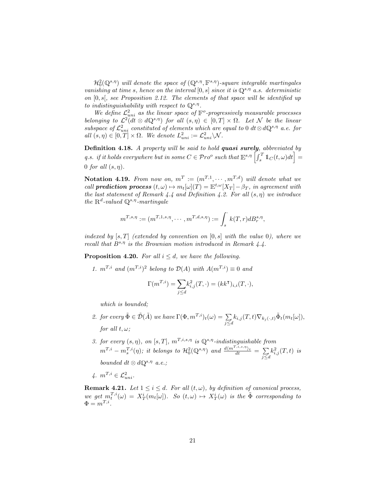$\mathcal{H}^{2}_{0}(\mathbb{Q}^{s,\eta})$  will denote the space of  $(\mathbb{Q}^{s,\eta}, \mathbb{F}^{s,\eta})$ -square integrable martingales vanishing at time s, hence on the interval  $[0, s]$  since it is  $\mathbb{Q}^{s, \eta}$  a.s. deterministic on  $[0, s]$ , see Proposition 2.12. The elements of that space will be identified up to indistinguishability with respect to  $\mathbb{Q}^{s,\eta}$ .

We define  $\mathcal{L}^2_{uni}$  as the linear space of  $\mathbb{F}^o$ -progressively measurable processes belonging to  $\mathcal{L}^2(dt \otimes dQ^{s,\eta})$  for all  $(s,\eta) \in [0,T] \times \Omega$ . Let N be the linear subspace of  $\mathcal{L}^2_{uni}$  constituted of elements which are equal to 0 dt⊗d $\mathbb{Q}^{s,\eta}$  a.e. for all  $(s, \eta) \in [0, T] \times \Omega$ . We denote  $L^2_{uni} := \mathcal{L}^2_{uni} \setminus \mathcal{N}$ .

Definition 4.18. A property will be said to hold quasi surely, abbreviated by q.s. if it holds everywhere but in some  $C \in \mathcal Pro^o$  such that  $\mathbb E^{s,\eta} \left[ \int_s^T \mathbb 1_C(t,\omega) dt \right] =$ 0 for all  $(s, \eta)$ .

Notation 4.19. From now on,  $m^T := (m^{T,1}, \cdots, m^{T,d})$  will denote what we call **prediction process**  $(t, \omega) \mapsto m_t[\omega](T) = \mathbb{E}^{t, \omega}[X_T] - \beta_T$ , in agreement with the last statement of Remark 4.4 and Definition 4.2. For all  $(s, \eta)$  we introduce the  $\mathbb{R}^d$ -valued  $\mathbb{Q}^{s,\eta}$ -martingale

$$
m^{T,s,\eta} := (m^{T,1,s,\eta}, \cdots, m^{T,d,s,\eta}) := \int_s^{\cdot} k(T,r) dB_r^{s,\eta},
$$

indexed by  $[s, T]$  (extended by convention on  $[0, s]$  with the value 0), where we recall that  $B^{s,\eta}$  is the Brownian motion introduced in Remark 4.4.

**Proposition 4.20.** For all  $i \leq d$ , we have the following.

1.  $m^{T,i}$  and  $(m^{T,i})^2$  belong to  $\mathcal{D}(A)$  with  $A(m^{T,i}) \equiv 0$  and

$$
\Gamma(m^{T,i}) = \sum_{j \le d} k_{i,j}^2(T, \cdot) = (kk^{\mathsf{T}})_{i,i}(T, \cdot),
$$

which is bounded;

- 2. for every  $\tilde{\Phi} \in \tilde{\mathcal{D}}(\tilde{A})$  we have  $\Gamma(\Phi, m^{T,i})_t(\omega) = \sum_{j \leq d} k_{i,j}(T,t) \nabla_{k_j(\cdot,t)} \tilde{\Phi}_t(m_t[\omega]),$ for all  $t, \omega$ ;
- 3. for every  $(s, \eta)$ , on  $[s, T]$ ,  $m^{T, i, s, \eta}$  is  $\mathbb{Q}^{s, \eta}$ -indistinguishable from  $m^{T,i} - m_s^{T,i}(\eta)$ ; it belongs to  $\mathcal{H}^2_0(\mathbb{Q}^{s,\eta})$  and  $\frac{d\langle m^{T,i,s,\eta}\rangle_t}{dt} = \sum_i$ j≤d  $k_{i,j}^2(T,t)$  is bounded  $dt \otimes d\mathbb{Q}^{s,\eta}$  a.e.;

$$
\mathcal{A}.\ \ m^{T,i} \in \mathcal{L}^2_{uni}.
$$

**Remark 4.21.** Let  $1 \leq i \leq d$ . For all  $(t, \omega)$ , by definition of canonical process, we get  $m_t^{T,i}(\omega) = X_T^i(m_t[\omega])$ . So  $(t,\omega) \mapsto X_T^i(\omega)$  is the  $\tilde{\Phi}$  corresponding to  $\Phi = m^{T,i}.$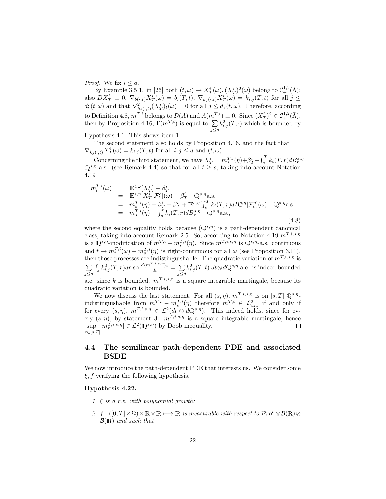*Proof.* We fix  $i \leq d$ .

By Example 3.5 1. in [26] both  $(t, \omega) \mapsto X_T^i(\omega), (X_T^i)^2(\omega)$  belong to  $\mathcal{C}_+^{1,2}(\bar{\Lambda})$ ; also  $DX^i_T \equiv 0$ ,  $\nabla_{b(\cdot,t)} X^i_T(\omega) = b_i(T,t)$ ,  $\nabla_{k_j(\cdot,t)} X^i_T(\omega) = k_{i,j}(T,t)$  for all  $j \leq$  $d;(t,\omega)$  and that  $\nabla^2_{k_j(\cdot,t)}(X^i_T)_t(\omega) = 0$  for all  $j \leq d, (t,\omega)$ . Therefore, according to Definition 4.8,  $m^{T,i}$  belongs to  $\mathcal{D}(A)$  and  $A(m^{T,i}) \equiv 0$ . Since  $(X_T^i)^2 \in C_+^{1,2}(\bar{\Lambda}),$ then by Proposition 4.16,  $\Gamma(m^{T,i})$  is equal to  $\Sigma$ j≤d  $k_{i,j}^2(T, \cdot)$  which is bounded by

Hypothesis 4.1. This shows item 1.

The second statement also holds by Proposition 4.16, and the fact that  $\nabla_{k_j(\cdot,t)} X_T^i(\omega) = k_{i,j}(T,t)$  for all  $i, j \leq d$  and  $(t, \omega)$ .

Concerning the third statement, we have  $X_T^i = m_s^{T,i}(\eta) + \beta_T^i + \int_s^T k_i(T, r) d_s^{s,\eta}$ <br>Q<sup>s, $\eta$ </sup> a.s. (see Remark 4.4) so that for all  $t \geq s$ , taking into account Notation 4.19

$$
m_t^{T,i}(\omega) = \mathbb{E}^{t,\omega}[X_T^i] - \beta_T^i
$$
  
\n
$$
= \mathbb{E}^{s,\eta}[X_T^i] \mathcal{F}_t^o](\omega) - \beta_T^i \mathbb{Q}^{s,\eta} \text{a.s.}
$$
  
\n
$$
= m_s^{T,i}(\eta) + \beta_T^i - \beta_T^i + \mathbb{E}^{s,\eta}[\int_s^T k_i(T,r) dB_r^{s,\eta} | \mathcal{F}_t^o](\omega) \mathbb{Q}^{s,\eta} \text{a.s.}
$$
  
\n
$$
= m_s^{T,i}(\eta) + \int_s^t k_i(T,r) dB_r^{s,\eta} \mathbb{Q}^{s,\eta} \text{a.s.},
$$
  
\n(4.8)

where the second equality holds because  $(\mathbb{Q}^{s,\eta})$  is a path-dependent canonical class, taking into account Remark 2.5. So, according to Notation 4.19  $m^{T,i,s,\eta}$ is a  $\mathbb{Q}^{s,\eta}$ -modification of  $m^{T,i} - m_s^{T,i}(\eta)$ . Since  $m^{T,i,s,\eta}$  is  $\mathbb{Q}^{s,\eta}$ -a.s. continuous and  $t \mapsto m_t^{T,i}(\omega) - m_s^{T,i}(\eta)$  is right-continuous for all  $\omega$  (see Proposition 3.11), then those processes are indistinguishable. The quadratic variation of  $m^{T,i,s,\eta}$  is<br>then those processes are indistinguishable. The quadratic variation of  $m^{T,i,s,\eta}$  is  $\sum$ j≤d  $\int_s^{\cdot} k_{i,j}^2(T,r)dr$  so  $\frac{d\langle m^{T,i,s,\eta}\rangle_t}{dt} = \sum_{i,j}$ j≤d  $k_{i,j}^2(T,t) dt \otimes d\mathbb{Q}^{s,\eta}$  a.e. is indeed bounded a.e. since k is bounded.  $m^{T,i,s,\eta}$  is a square integrable martingale, because its

quadratic variation is bounded.

We now discuss the last statement. For all  $(s, \eta)$ ,  $m^{T,i,s,\eta}$  is on  $[s, T]$   $\mathbb{Q}^{s,\eta}$ . indistinguishable from  $m^{T,i} - m_s^{T,i}(\eta)$  therefore  $m^{T,i} \in \mathcal{L}^2_{uni}$  if and only if for every  $(s, \eta)$ ,  $m^{T,i,s,\eta} \in \mathcal{L}^2(dt \otimes d\mathbb{Q}^{s,\eta})$ . This indeed holds, since for every  $(s, \eta)$ , by statement 3.,  $m^{T,i,s,\eta}$  is a square integrable martingale, hence  $\sup |m_r^{T,i,s,\eta}| \in \mathcal{L}^2(\mathbb{Q}^{s,\eta})$  by Doob inequality.  $\Box$  $r{\in}[s,T]$ 

### 4.4 The semilinear path-dependent PDE and associated BSDE

We now introduce the path-dependent PDE that interests us. We consider some  $\xi$ , f verifying the following hypothesis.

#### Hypothesis 4.22.

- 1.  $\xi$  is a r.v. with polynomial growth;
- 2. f :  $([0, T] \times \Omega) \times \mathbb{R} \times \mathbb{R} \longrightarrow \mathbb{R}$  is measurable with respect to  $\mathcal{P}ro^o \otimes \mathcal{B}(\mathbb{R}) \otimes$  $\mathcal{B}(\mathbb{R})$  and such that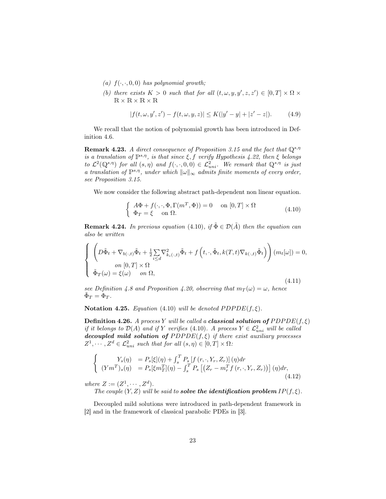- (a)  $f(\cdot, \cdot, 0, 0)$  has polynomial growth;
- (b) there exists  $K > 0$  such that for all  $(t, \omega, y, y', z, z') \in [0, T] \times \Omega \times$  $R \times R \times R$

$$
|f(t, \omega, y', z') - f(t, \omega, y, z)| \le K(|y' - y| + |z' - z|). \tag{4.9}
$$

We recall that the notion of polynomial growth has been introduced in Definition 4.6.

**Remark 4.23.** A direct consequence of Proposition 3.15 and the fact that  $\mathbb{Q}^{s,\eta}$ is a translation of  $\mathbb{P}^{s,\eta}$ , is that since  $\xi$ , f verify Hypothesis 4.22, then  $\xi$  belongs to  $\mathcal{L}^2(\mathbb{Q}^{s,\eta})$  for all  $(s,\eta)$  and  $f(\cdot,\cdot,0,0) \in \mathcal{L}^2_{uni}$ . We remark that  $\mathbb{Q}^{s,\eta}$  is just a translation of  $\mathbb{P}^{s,\eta}$ , under which  $\|\omega\|_{\infty}$  admits finite moments of every order, see Proposition 3.15.

We now consider the following abstract path-dependent non linear equation.

$$
\begin{cases}\nA\Phi + f(\cdot, \cdot, \Phi, \Gamma(m^T, \Phi)) = 0 & \text{on } [0, T] \times \Omega \\
\Phi_T = \xi & \text{on } \Omega.\n\end{cases}
$$
\n(4.10)

**Remark 4.24.** In previous equation (4.10), if  $\tilde{\Phi} \in \mathcal{D}(\tilde{A})$  then the equation can also be written

$$
\begin{cases}\n\left(D\tilde{\Phi}_t + \nabla_{b(\cdot,t)}\tilde{\Phi}_t + \frac{1}{2}\sum_{i\leq d}\nabla^2_{k_i(\cdot,t)}\tilde{\Phi}_t + f\left(t,\cdot,\tilde{\Phi}_t,k(T,t)\nabla_{k(\cdot,t)}\tilde{\Phi}_t\right)\right)(m_t[\omega]) = 0, \\
\text{ on } [0,T] \times \Omega \\
\tilde{\Phi}_T(\omega) = \xi(\omega) \quad \text{on } \Omega,\n\end{cases} \tag{4.11}
$$

see Definition 4.8 and Proposition 4.20, observing that  $m_T(\omega) = \omega$ , hence  $\tilde{\Phi}_T = \Phi_T$ .

Notation 4.25. Equation (4.10) will be denoted  $PDPDE(f, \xi)$ .

**Definition 4.26.** A process Y will be called a **classical solution of**  $PDPDE(f, \xi)$ if it belongs to  $\mathcal{D}(A)$  and if Y verifies (4.10). A process  $Y \in \mathcal{L}^2_{uni}$  will be called decoupled mild solution of  $PDPDE(f, \xi)$  if there exist auxiliary processes  $Z^1, \cdots, Z^d \in \mathcal{L}^2_{uni}$  such that for all  $(s, \eta) \in [0, T] \times \Omega$ :

$$
\begin{cases}\nY_s(\eta) &= P_s[\xi](\eta) + \int_s^T P_s[f(r,\cdot,Y_r,Z_r)](\eta) dr \\
(Ym^T)_s(\eta) &= P_s[\xi m_T^T](\eta) - \int_s^T P_s\left[ (Z_r - m_r^T f(r,\cdot,Y_r,Z_r)) \right](\eta) dr,\n\end{cases} \tag{4.12}
$$

where  $Z := (Z^1, \cdots, Z^d)$ .

The couple  $(Y, Z)$  will be said to **solve the identification problem**  $IP(f, \xi)$ .

Decoupled mild solutions were introduced in path-dependent framework in [2] and in the framework of classical parabolic PDEs in [3].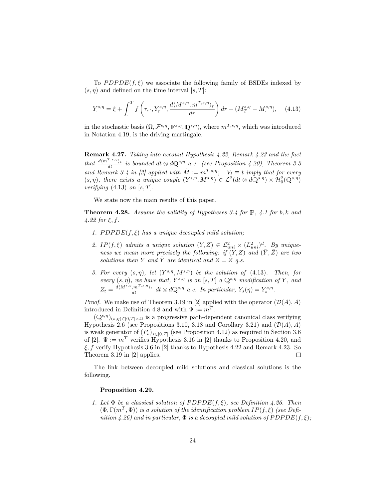To  $PDPDE(f, \xi)$  we associate the following family of BSDEs indexed by  $(s, \eta)$  and defined on the time interval  $[s, T]$ :

$$
Y_{.}^{s,\eta} = \xi + \int_{.}^{T} f\left(r, \cdot, Y_{r}^{s,\eta}, \frac{d\langle M^{s,\eta}, m^{T,s,\eta} \rangle_{r}}{dr}\right) dr - (M_{T}^{s,\eta} - M_{.}^{s,\eta}), \quad (4.13)
$$

in the stochastic basis  $(\Omega, \mathcal{F}^{s,\eta}, \mathbb{F}^{s,\eta}, \mathbb{Q}^{s,\eta}),$  where  $m^{T,s,\eta}$ , which was introduced in Notation 4.19, is the driving martingale.

Remark 4.27. Taking into account Hypothesis 4.22, Remark 4.23 and the fact that  $\frac{d\langle m^{T,s,\eta}\rangle_t}{dt}$  is bounded  $dt \otimes d\mathbb{Q}^{s,\eta}$  a.e. (see Proposition 4.20), Theorem 3.3 and Remark 3.4 in [3] applied with  $\hat{M} := m^{T,s,\eta}$ ;  $V_t \equiv t$  imply that for every  $(s, \eta)$ , there exists a unique couple  $(Y^{s,\eta}, M^{s,\eta}) \in \mathcal{L}^2(dt \otimes d\mathbb{Q}^{s,\eta}) \times \mathcal{H}^2_0(\mathbb{Q}^{s,\eta})$ verifying  $(4.13)$  on  $[s, T]$ .

We state now the main results of this paper.

**Theorem 4.28.** Assume the validity of Hypotheses 3.4 for  $\mathbb{P}$ , 4.1 for b, k and  $4.22$  for  $\xi, f$ .

- 1.  $PDPDE(f, \xi)$  has a unique decoupled mild solution;
- 2. IP(f,  $\xi$ ) admits a unique solution  $(Y, Z) \in \mathcal{L}_{uni}^2 \times (L_{uni}^2)^d$ . By uniqueness we mean more precisely the following: if  $(Y, Z)$  and  $(\bar{Y}, \bar{Z})$  are two solutions then Y and  $\overline{Y}$  are identical and  $Z = \overline{Z}$  q.s.
- 3. For every  $(s, \eta)$ , let  $(Y^{s,\eta}, M^{s,\eta})$  be the solution of (4.13). Then, for every  $(s, \eta)$ , we have that,  $Y^{s, \eta}$  is on  $[s, T]$  a  $\mathbb{Q}^{s, \eta}$  modification of Y, and  $Z_t = \frac{d\langle M^{s,\eta}, m^{T,s,\eta} \rangle_t}{dt} \, dt \otimes d\mathbb{Q}^{s,\eta}$  a.e. In particular,  $Y_s(\eta) = Y_s^{s,\eta}$ .

*Proof.* We make use of Theorem 3.19 in [2] applied with the operator  $(\mathcal{D}(A), A)$ introduced in Definition 4.8 and with  $\Psi := m^T$ .

 $(\mathbb{Q}^{s,\eta})_{(s,\eta)\in[0,T]\times\Omega}$  is a progressive path-dependent canonical class verifying Hypothesis 2.6 (see Propositions 3.10, 3.18 and Corollary 3.21) and  $(\mathcal{D}(A), A)$ is weak generator of  $(P_s)_{s\in[0,T]}$  (see Proposition 4.12) as required in Section 3.6 of [2].  $\Psi := m^T$  verifies Hypothesis 3.16 in [2] thanks to Proposition 4.20, and  $\xi$ , f verify Hypothesis 3.6 in [2] thanks to Hypothesis 4.22 and Remark 4.23. So Theorem 3.19 in [2] applies.  $\Box$ 

The link between decoupled mild solutions and classical solutions is the following.

#### Proposition 4.29.

1. Let  $\Phi$  be a classical solution of PDPDE(f,  $\xi$ ), see Definition 4.26. Then  $(\Phi, \Gamma(m^T, \Phi))$  is a solution of the identification problem IP(f,  $\xi$ ) (see Definition 4.26) and in particular,  $\Phi$  is a decoupled mild solution of  $PDPDE(f, \xi)$ ;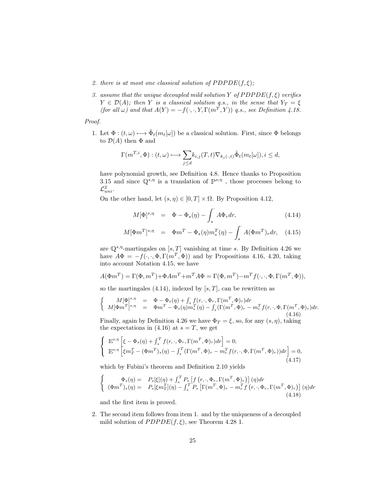- 2. there is at most one classical solution of  $PDPDE(f, \xi)$ ;
- 3. assume that the unique decoupled mild solution Y of  $PDPDE(f, \xi)$  verifies  $Y \in \mathcal{D}(A)$ ; then Y is a classical solution q.s., in the sense that  $Y_T = \xi$ (for all  $\omega$ ) and that  $A(Y) = -f(\cdot, \cdot, Y, \Gamma(m^T, Y))$  q.s., see Definition 4.18.

Proof.

1. Let  $\Phi: (t, \omega) \longmapsto \tilde{\Phi}_t(m_t[\omega])$  be a classical solution. First, since  $\Phi$  belongs to  $\mathcal{D}(A)$  then  $\Phi$  and

$$
\Gamma(m^{T,i}, \Phi) : (t, \omega) \longmapsto \sum_{j \leq d} k_{i,j}(T, t) \nabla_{k_j(\cdot, t)} \tilde{\Phi}_t(m_t[\omega]), i \leq d,
$$

have polynomial growth, see Definition 4.8. Hence thanks to Proposition 3.15 and since  $\mathbb{Q}^{s,\eta}$  is a translation of  $\mathbb{P}^{s,\eta}$ , those processes belong to  $\mathcal{L}^2_{uni}.$ 

On the other hand, let  $(s, \eta) \in [0, T] \times \Omega$ . By Proposition 4.12,

$$
M[\Phi]^{s,\eta} = \Phi - \Phi_s(\eta) - \int_s^{\cdot} A \Phi_r dr, \qquad (4.14)
$$

$$
M[\Phi m^T]^{s,\eta} = \Phi m^T - \Phi_s(\eta) m_s^T(\eta) - \int_s^{\cdot} A(\Phi m^T)_r dr, \quad (4.15)
$$

are  $\mathbb{Q}^{s,\eta}$ -martingales on  $[s,T]$  vanishing at time s. By Definition 4.26 we have  $A\Phi = -f(\cdot, \cdot, \Phi, \Gamma(m^T, \Phi))$  and by Propositions 4.16, 4.20, taking into account Notation 4.15, we have

$$
A(\Phi m^T) = \Gamma(\Phi, m^T) + \Phi Am^T + m^T A \Phi = \Gamma(\Phi, m^T) - m^T f(\cdot, \cdot, \Phi, \Gamma(m^T, \Phi)),
$$

so the martingales  $(4.14)$ , indexed by  $[s, T]$ , can be rewritten as

$$
\begin{cases}\nM[\Phi]^{s,\eta} = \Phi - \Phi_s(\eta) + \int_s^{\cdot} f(r,\cdot,\Phi_r, \Gamma(m^T,\Phi)_r) dr \\
M[\Phi m^T]^{s,\eta} = \Phi m^T - \Phi_s(\eta) m_s^T(\eta) - \int_s^{\cdot} (\Gamma(m^T,\Phi)_r - m_r^T f(r,\cdot,\Phi, \Gamma(m^T,\Phi)_r) dr.\n\end{cases} (4.16)
$$

Finally, again by Definition 4.26 we have  $\Phi_T = \xi$ , so, for any  $(s, \eta)$ , taking the expectations in (4.16) at  $s = T$ , we get

$$
\begin{cases}\n\mathbb{E}^{s,\eta}\left[\xi-\Phi_s(\eta)+\int_s^T f(r,\cdot,\Phi_r,\Gamma(m^T,\Phi)_r)dr\right]=0; \\
\mathbb{E}^{s,\eta}\left[\xi m^T_T-(\Phi m^T)_s(\eta)-\int_s^T (\Gamma(m^T,\Phi)_r-m^T_r f(r,\cdot,\Phi,\Gamma(m^T,\Phi)_r))dr\right]=0, \\
(4.17)\n\end{cases}
$$

which by Fubini's theorem and Definition 2.10 yields

$$
\begin{cases}\n\Phi_s(\eta) = P_s[\xi](\eta) + \int_s^T P_s \left[ f(r, \cdot, \Phi_r, \Gamma(m^T, \Phi)_r) \right](\eta) dr \\
(\Phi m^T)_s(\eta) = P_s[\xi m_T^T](\eta) - \int_s^T P_s \left[ \Gamma(m^T, \Phi)_r - m_r^T f(r, \cdot, \Phi_r, \Gamma(m^T, \Phi)_r) \right](\eta) dr\n\end{cases} (4.18)
$$

and the first item is proved.

2. The second item follows from item 1. and by the uniqueness of a decoupled mild solution of  $PDPDE(f, \xi)$ , see Theorem 4.28 1.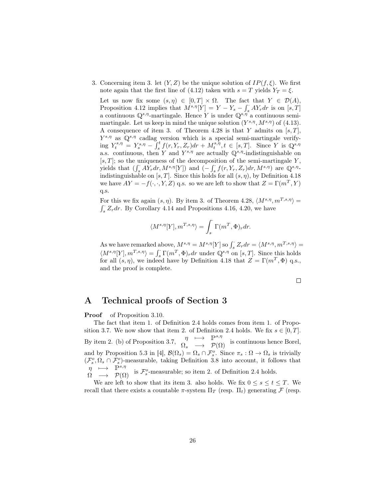3. Concerning item 3. let  $(Y, Z)$  be the unique solution of  $IP(f, \xi)$ . We first note again that the first line of (4.12) taken with  $s = T$  yields  $Y_T = \xi$ .

Let us now fix some  $(s, \eta) \in [0, T] \times \Omega$ . The fact that  $Y \in \mathcal{D}(A)$ , Proposition 4.12 implies that  $M^{s,\eta}[Y] = Y - Y_s - \int_s^{\cdot} A Y_r dr$  is on  $[s, T]$ a continuous  $\mathbb{Q}^{s,\eta}$ -martingale. Hence Y is under  $\mathbb{Q}^{s,\eta}$  a continuous semimartingale. Let us keep in mind the unique solution  $(Y^{s,\eta}, M^{s,\eta})$  of  $(4.13)$ . A consequence of item 3. of Theorem 4.28 is that Y admits on  $[s, T]$ ,  $Y^{s,\eta}$  as  $\mathbb{Q}^{s,\eta}$  cadlag version which is a special semi-martingale verifying  $Y_t^{s,\eta} = Y_s^{s,\eta} - \int_s^t f(r,Y_r,Z_r)dr + M_t^{s,\eta}, t \in [s,T].$  Since Y is  $\mathbb{Q}^{s,\eta}$ a.s. continuous, then Y and  $Y^{s,\eta}$  are actually  $\mathbb{Q}^{s,\eta}$ -indistinguishable on  $[s, T]$ ; so the uniqueness of the decomposition of the semi-martingale Y, yields that  $(\int_s^{\cdot} A Y_r dr, M^{s,\eta}[Y])$  and  $(-\int_s^{\cdot} f(r, Y_r, Z_r) dr, M^{s,\eta})$  are  $\mathbb{Q}^{s,\eta}$ . indistinguishable on  $[s, T]$ . Since this holds for all  $(s, \eta)$ , by Definition 4.18 we have  $AY = -f(\cdot, \cdot, Y, Z)$  q.s. so we are left to show that  $Z = \Gamma(m^T, Y)$ q.s.

For this we fix again  $(s, \eta)$ . By item 3. of Theorem 4.28,  $\langle M^{s,\eta}, m^{T,s,\eta} \rangle =$  $\int_{s}^{s} Z_r dr$ . By Corollary 4.14 and Propositions 4.16, 4.20, we have

$$
\langle M^{s,\eta}[Y], m^{T,s,\eta} \rangle = \int_s \Gamma(m^T, \Phi)_r dr.
$$

As we have remarked above,  $M^{s,\eta} = M^{s,\eta}[Y]$  so  $\int_s^{\cdot} Z_r dr = \langle M^{s,\eta}, m^{T,s,\eta} \rangle =$  $\langle M^{s,\eta}[Y], m^{T,s,\eta} \rangle = \int_s \Gamma(m^T, \Phi)_r dr$  under  $\mathbb{Q}^{s,\eta}$  on [s, T]. Since this holds for all  $(s, \eta)$ , we indeed have by Definition 4.18 that  $Z = \Gamma(m^T, \Phi)$  q.s., and the proof is complete.

 $\Box$ 

### A Technical proofs of Section 3

**Proof** of Proposition 3.10.

The fact that item 1. of Definition 2.4 holds comes from item 1. of Proposition 3.7. We now show that item 2. of Definition 2.4 holds. We fix  $s \in [0, T]$ . By item 2. (b) of Proposition 3.7,  $\begin{array}{ccc}\n\eta & \longmapsto & \mathbb{P}^{s,\eta} \\
\Omega_s & \longrightarrow & \mathcal{P}(\Omega)\n\end{array}$  is continuous hence Borel, and by Proposition 5.3 in [4],  $\mathcal{B}(\Omega_s) = \Omega_s \cap \mathcal{F}_s^o$ . Since  $\pi_s : \Omega \to \Omega_s$  is trivially  $(\mathcal{F}^o_s, \Omega_s \cap \mathcal{F}^o_s)$ -measurable, taking Definition 3.8 into account, it follows that  $\eta \longrightarrow P^{s,\eta}$  is  $\mathcal{F}^o_s$ -measurable; so item 2. of Definition 2.4 holds.

We are left to show that its item 3. also holds. We fix  $0 \leq s \leq t \leq T$ . We recall that there exists a countable  $\pi$ -system  $\Pi_T$  (resp.  $\Pi_t$ ) generating  $\mathcal F$  (resp.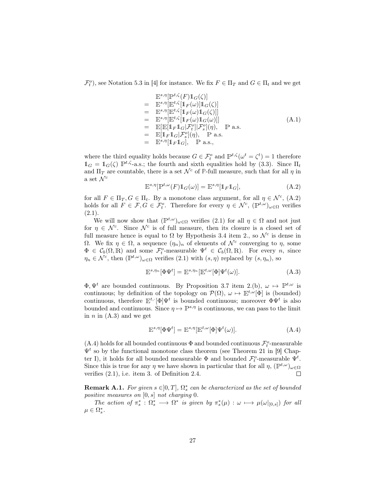$\mathcal{F}_t^o$ , see Notation 5.3 in [4] for instance. We fix  $F \in \Pi_T$  and  $G \in \Pi_t$  and we get

$$
\begin{aligned}\n& \mathbb{E}^{s,\eta}[\mathbb{P}^{t,\zeta}(F)\mathbf{1}_{G}(\zeta)] \\
&= \mathbb{E}^{s,\eta}[\mathbb{E}^{t,\zeta}[\mathbf{1}_{F}(\omega)]\mathbf{1}_{G}(\zeta)] \\
&= \mathbb{E}^{s,\eta}[\mathbb{E}^{t,\zeta}[\mathbf{1}_{F}(\omega)\mathbf{1}_{G}(\zeta)]] \\
&= \mathbb{E}^{s,\eta}[\mathbb{E}^{t,\zeta}[\mathbf{1}_{F}(\omega)\mathbf{1}_{G}(\omega)]] \\
&= \mathbb{E}[\mathbb{E}[\mathbf{1}_{F}\mathbf{1}_{G}|\mathcal{F}_{t}^{o}][\mathcal{F}_{s}^{o}](\eta), \quad \mathbb{P} \text{ a.s.} \\
&= \mathbb{E}[\mathbf{1}_{F}\mathbf{1}_{G}|\mathcal{F}_{s}^{o}](\eta), \quad \mathbb{P} \text{ a.s.} \\
&= \mathbb{E}^{s,\eta}[\mathbf{1}_{F}\mathbf{1}_{G}], \quad \mathbb{P} \text{ a.s.},\n\end{aligned} \tag{A.1}
$$

where the third equality holds because  $G \in \mathcal{F}_t^o$  and  $\mathbb{P}^{t,\zeta}(\omega^t = \zeta^t) = 1$  therefore  $\mathbb{1}_G = \mathbb{1}_G(\zeta) \mathbb{P}^{t,\zeta}$ -a.s.; the fourth and sixth equalities hold by (3.3). Since  $\Pi_t$ and  $\Pi_T$  are countable, there is a set  $\mathcal{N}^c$  of **P**-full measure, such that for all  $\eta$  in a set  $\mathcal{N}^c$ 

$$
\mathbb{E}^{s,\eta}[\mathbb{P}^{t,\omega}(F)\mathbb{1}_G(\omega)] = \mathbb{E}^{s,\eta}[\mathbb{1}_F\mathbb{1}_G],\tag{A.2}
$$

for all  $F \in \Pi_T, G \in \Pi_t$ . By a monotone class argument, for all  $\eta \in \mathcal{N}^c$ , (A.2) holds for all  $F \in \mathcal{F}, G \in \mathcal{F}_t^o$ . Therefore for every  $\eta \in \mathcal{N}^c$ ,  $(\mathbb{P}^{t,\omega})_{\omega \in \Omega}$  verifies  $(2.1).$ 

We will now show that  $(\mathbb{P}^{t,\omega})_{\omega \in \Omega}$  verifies  $(2.1)$  for all  $\eta \in \Omega$  and not just for  $\eta \in \mathcal{N}^c$ . Since  $\mathcal{N}^c$  is of full measure, then its closure is a closed set of full measure hence is equal to  $\Omega$  by Hypothesis 3.4 item 2., so  $\mathcal{N}^c$  is dense in Ω. We fix  $η ∈ Ω$ , a sequence  $(η<sub>n</sub>)<sub>n</sub>$  of elements of  $\mathcal{N}^c$  converging to  $η$ , some  $\Phi \in \mathcal{C}_b(\Omega,\mathbb{R})$  and some  $\mathcal{F}_t^o$ -measurable  $\Psi^t \in \mathcal{C}_b(\Omega,\mathbb{R})$ . For every *n*, since  $\eta_n \in \mathcal{N}^c$ , then  $(\mathbb{P}^{t,\omega})_{\omega \in \Omega}$  verifies  $(2.1)$  with  $(s,\eta)$  replaced by  $(s,\eta_n)$ , so

$$
\mathbb{E}^{s,\eta_n}[\Phi\Psi^t] = \mathbb{E}^{s,\eta_n}[\mathbb{E}^{t,\omega}[\Phi]\Psi^t(\omega)].\tag{A.3}
$$

 $\Phi, \Psi^t$  are bounded continuous. By Proposition 3.7 item 2.(b),  $\omega \mapsto \mathbb{P}^{t,\omega}$  is continuous; by definition of the topology on  $\mathcal{P}(\Omega)$ ,  $\omega \mapsto \mathbb{E}^{t,\omega}[\Phi]$  is (bounded) continuous, therefore  $\mathbb{E}^{t}$ .  $[\Phi]\Psi^t$  is bounded continuous; moreover  $\Phi\Psi^t$  is also bounded and continuous. Since  $\eta \mapsto \mathbb{P}^{s,\eta}$  is continuous, we can pass to the limit in  $n$  in  $(A.3)$  and we get

$$
\mathbb{E}^{s,\eta}[\Phi\Psi^t] = \mathbb{E}^{s,\eta}[\mathbb{E}^{t,\omega}[\Phi]\Psi^t(\omega)].\tag{A.4}
$$

(A.4) holds for all bounded continuous  $\Phi$  and bounded continuous  $\mathcal{F}^o_t\text{-measurable}$  $\Psi^t$  so by the functional monotone class theorem (see Theorem 21 in [9] Chapter I), it holds for all bounded measurable  $\Phi$  and bounded  $\mathcal{F}_t^o$ -measurable  $\Psi^t$ . Since this is true for any  $\eta$  we have shown in particular that for all  $\eta$ ,  $(\mathbb{P}^{t,\omega})_{\omega \in \Omega}$ verifies (2.1), i.e. item 3. of Definition 2.4.  $\Box$ 

**Remark A.1.** For given  $s \in ]0,T]$ ,  $\Omega_s^*$  can be characterized as the set of bounded positive measures on  $[0, s]$  not charging 0.

The action of  $\pi_s^*: \Omega_s^* \longrightarrow \Omega^*$  is given by  $\pi_s^*(\mu) : \omega \longmapsto \mu(\omega|_{[0,s]})$  for all  $\mu \in \Omega_s^*$ .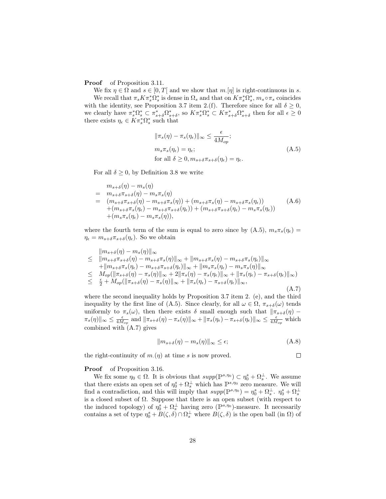**Proof** of Proposition 3.11.

We fix  $\eta \in \Omega$  and  $s \in [0, T]$  and we show that  $m. [\eta]$  is right-continuous in s. We recall that  $\pi_s K \pi_s^* \Omega_s^*$  is dense in  $\Omega_s$  and that on  $K \pi_s^* \Omega_s^*$ ,  $m_s \circ \pi_s$  coincides with the identity, see Proposition 3.7 item 2.(f). Therefore since for all  $\delta \geq 0$ , we clearly have  $\pi_s^*\Omega_s^* \subset \pi_{s+\delta}^*\Omega_{s+\delta}^*$ , so  $K\pi_s^*\Omega_s^* \subset K\pi_{s+\delta}^*\Omega_{s+\delta}^*$  then for all  $\epsilon \geq 0$ there exists  $\eta_{\epsilon} \in K \pi_s^* \Omega_s^*$  such that

$$
\|\pi_s(\eta) - \pi_s(\eta_{\epsilon})\|_{\infty} \le \frac{\epsilon}{4M_{op}};
$$
  

$$
m_s \pi_s(\eta_{\epsilon}) = \eta_{\epsilon};
$$
  
for all  $\delta \ge 0, m_{s+\delta} \pi_{s+\delta}(\eta_{\epsilon}) = \eta_{\epsilon}.$  (A.5)

For all  $\delta \geq 0$ , by Definition 3.8 we write

$$
m_{s+\delta}(\eta) - m_s(\eta)
$$
  
=  $m_{s+\delta}\pi_{s+\delta}(\eta) - m_s\pi_s(\eta)$   
=  $(m_{s+\delta}\pi_{s+\delta}(\eta) - m_{s+\delta}\pi_s(\eta)) + (m_{s+\delta}\pi_s(\eta) - m_{s+\delta}\pi_s(\eta_{\epsilon}))$   
+  $(m_{s+\delta}\pi_s(\eta_{\epsilon}) - m_{s+\delta}\pi_{s+\delta}(\eta_{\epsilon})) + (m_{s+\delta}\pi_{s+\delta}(\eta_{\epsilon}) - m_s\pi_s(\eta_{\epsilon}))$   
+  $(m_s\pi_s(\eta_{\epsilon}) - m_s\pi_s(\eta)),$  (A.6)

where the fourth term of the sum is equal to zero since by  $(A.5)$ ,  $m_s \pi_s(\eta_{\epsilon}) =$  $\eta_{\epsilon} = m_{s+\delta} \pi_{s+\delta}(\eta_{\epsilon}).$  So we obtain

$$
\|m_{s+\delta}(\eta) - m_s(\eta)\|_{\infty} \n\leq \|m_{s+\delta}\pi_{s+\delta}(\eta) - m_{s+\delta}\pi_s(\eta)\|_{\infty} + \|m_{s+\delta}\pi_s(\eta) - m_{s+\delta}\pi_s(\eta_{\epsilon})\|_{\infty} \n+ \|m_{s+\delta}\pi_s(\eta_{\epsilon}) - m_{s+\delta}\pi_{s+\delta}(\eta_{\epsilon})\|_{\infty} + \|m_s\pi_s(\eta_{\epsilon}) - m_s\pi_s(\eta)\|_{\infty} \n\leq M_{op}(\|\pi_{s+\delta}(\eta) - \pi_s(\eta)\|_{\infty} + 2\|\pi_s(\eta) - \pi_s(\eta_{\epsilon})\|_{\infty} + \|\pi_s(\eta_{\epsilon}) - \pi_{s+\delta}(\eta_{\epsilon})\|_{\infty} \n\leq \frac{\epsilon}{2} + M_{op}(\|\pi_{s+\delta}(\eta) - \pi_s(\eta)\|_{\infty} + \|\pi_s(\eta_{\epsilon}) - \pi_{s+\delta}(\eta_{\epsilon})\|_{\infty},
$$
\n(A.7)

where the second inequality holds by Proposition 3.7 item 2. (e), and the third inequality by the first line of (A.5). Since clearly, for all  $\omega \in \Omega$ ,  $\pi_{s+\delta}(\omega)$  tends uniformly to  $\pi_s(\omega)$ , then there exists  $\delta$  small enough such that  $\|\pi_{s+\delta}(\eta) \pi_s(\eta) \|_{\infty} \leq \frac{\epsilon}{4M_{op}}$  and  $\|\pi_{s+\delta}(\eta) - \pi_s(\eta)\|_{\infty} + \|\pi_s(\eta_{\epsilon}) - \pi_{s+\delta}(\eta_{\epsilon})\|_{\infty} \leq \frac{\epsilon}{4M_{op}}$  which combined with (A.7) gives

$$
||m_{s+\delta}(\eta) - m_s(\eta)||_{\infty} \le \epsilon; \tag{A.8}
$$

the right-continuity of  $m(\eta)$  at time s is now proved.

 $\Box$ 

#### **Proof** of Proposition 3.16.

We fix some  $\eta_0 \in \Omega$ . It is obvious that  $supp(\mathbb{P}^{s,\eta_0}) \subset \eta_0^s + \Omega_s^{\perp}$ . We assume that there exists an open set of  $\eta_0^s + \Omega_s^{\perp}$  which has  $\mathbb{P}^{s,\eta_0}$  zero measure. We will find a contradiction, and this will imply that  $supp(\mathbb{P}^{s,\eta_0}) = \eta_0^s + \Omega_s^{\perp}$ .  $\eta_0^s + \Omega_s^{\perp}$ is a closed subset of  $\Omega$ . Suppose that there is an open subset (with respect to the induced topology) of  $\eta_0^s + \Omega_s^{\perp}$  having zero ( $\mathbb{P}^{s,\eta_0}$ )-measure. It necessarily contains a set of type  $\eta_0^s + B(\zeta, \delta) \cap \Omega_s^{\perp}$  where  $B(\zeta, \delta)$  is the open ball (in  $\Omega$ ) of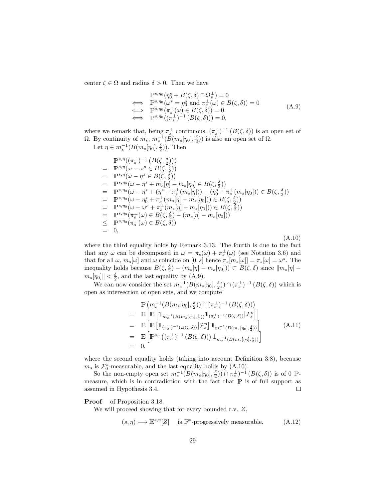center  $\zeta \in \Omega$  and radius  $\delta > 0$ . Then we have

$$
\begin{aligned}\n\mathbb{P}^{s,\eta_0}(\eta_0^s + B(\zeta,\delta) \cap \Omega_s^{\perp}) &= 0 \\
\Longleftrightarrow \quad &\mathbb{P}^{s,\eta_0}(\omega^s = \eta_0^s \text{ and } \pi_s^{\perp}(\omega) \in B(\zeta,\delta)) = 0 \\
\Longleftrightarrow \quad &\mathbb{P}^{s,\eta_0}(\pi_s^{\perp}(\omega) \in B(\zeta,\delta)) = 0 \\
\Longleftrightarrow \quad &\mathbb{P}^{s,\eta_0}((\pi_s^{\perp})^{-1} (B(\zeta,\delta))) = 0,\n\end{aligned} \tag{A.9}
$$

where we remark that, being  $\pi_s^{\perp}$  continuous,  $(\pi_s^{\perp})^{-1} (B(\zeta,\delta))$  is an open set of Ω. By continuity of  $m_s$ ,  $m_s^{-1}(B(m_s[\eta_0], \frac{\delta}{2}))$  is also an open set of Ω.

Let  $\eta \in m_s^{-1}(B(m_s[\eta_0], \frac{\delta}{2}))$ . Then

$$
\begin{array}{lll}\n\mathbb{P}^{s,\eta}((\pi_{s}^{\perp})^{-1} (B(\zeta, \frac{\delta}{2}))) \\
= & \mathbb{P}^{s,\eta}(\omega - \omega^{s} \in B(\zeta, \frac{\delta}{2})) \\
= & \mathbb{P}^{s,\eta}(\omega - \eta^{s} \in B(\zeta, \frac{\delta}{2})) \\
= & \mathbb{P}^{s,\eta\omega}(\omega - \eta^{s} + m_{s}[\eta] - m_{s}[\eta_{0}] \in B(\zeta, \frac{\delta}{2})) \\
= & \mathbb{P}^{s,\eta\omega}(\omega - \eta^{s} + (\eta^{s} + \pi_{s}^{\perp}(m_{s}[\eta])) - (\eta_{0}^{s} + \pi_{s}^{\perp}(m_{s}[\eta_{0}])) \in B(\zeta, \frac{\delta}{2})) \\
= & \mathbb{P}^{s,\eta\omega}(\omega - \eta_{0}^{s} + \pi_{s}^{\perp}(m_{s}[\eta] - m_{s}[\eta_{0}])) \in B(\zeta, \frac{\delta}{2})) \\
= & \mathbb{P}^{s,\eta\omega}(\omega - \omega^{s} + \pi_{s}^{\perp}(m_{s}[\eta] - m_{s}[\eta_{0}])) \in B(\zeta, \frac{\delta}{2})) \\
= & \mathbb{P}^{s,\eta\omega}(\pi_{s}^{\perp}(\omega) \in B(\zeta, \frac{\delta}{2}) - (m_{s}[\eta] - m_{s}[\eta_{0}])) \\
\leq & \mathbb{P}^{s,\eta\omega}(\pi_{s}^{\perp}(\omega) \in B(\zeta, \delta)) \\
= & 0, \tag{A.10}\n\end{array}
$$

where the third equality holds by Remark 3.13. The fourth is due to the fact that any  $\omega$  can be decomposed in  $\omega = \pi_s(\omega) + \pi_s^{\perp}(\omega)$  (see Notation 3.6) and that for all  $\omega$ ,  $m_s[\omega]$  and  $\omega$  coincide on  $[0, s]$  hence  $\pi_s[m_s[\omega]] = \pi_s[\omega] = \omega^s$ . The inequality holds because  $B(\zeta, \frac{\delta}{2}) - (m_s[\eta] - m_s[\eta_0])) \subset B(\zeta, \delta)$  since  $\|m_s[\eta]$  $m_s[\eta_0]$   $| < \frac{\delta}{2}$ , and the last equality by (A.9).

We can now consider the set  $m_s^{-1}(B(m_s[\eta_0], \frac{\delta}{2})) \cap (\pi_s^{\perp})^{-1}(B(\zeta, \delta))$  which is open as intersection of open sets, and we compute

$$
\begin{split}\n&= \mathbb{E}\left[\mathbb{E}\left[\mathbb{1}_{m_{s}^{-1}(B(m_{s}[\eta_{0}],\frac{\delta}{2}))}\cap (\pi_{s}^{\perp})^{-1}(B(\zeta,\delta))\right]\right] \\
&= \mathbb{E}\left[\mathbb{E}\left[\mathbb{1}_{m_{s}^{-1}(B(m_{s}[\eta_{0}],\frac{\delta}{2}))}\mathbb{1}_{(\pi_{s}^{\perp})^{-1}(B(\zeta,\delta))}|\mathcal{F}_{s}^{o}\right]\right] \\
&= \mathbb{E}\left[\mathbb{E}\left[\mathbb{1}_{(\pi_{s}^{\perp})^{-1}(B(\zeta,\delta))}|\mathcal{F}_{s}^{o}\right]\mathbb{1}_{m_{s}^{-1}(B(m_{s}[\eta_{0}],\frac{\delta}{2}))}\right] \\
&= \mathbb{E}\left[\mathbb{P}^{s}\colon ((\pi_{s}^{\perp})^{-1}(B(\zeta,\delta)))\mathbb{1}_{m_{s}^{-1}(B(m_{s}[\eta_{0}],\frac{\delta}{2}))}\right] \\
&= 0,\n\end{split} \tag{A.11}
$$

where the second equality holds (taking into account Definition 3.8), because  $m_s$  is  $\mathcal{F}_0^s$ -measurable, and the last equality holds by (A.10).

So the non-empty open set  $m_s^{-1}(B(m_s[\eta_0], \frac{\delta}{2})) \cap \pi_s^{\perp})^{-1}(B(\zeta, \delta))$  is of 0 Pmeasure, which is in contradiction with the fact that <sup>P</sup> is of full support as assumed in Hypothesis 3.4.  $\Box$ 

Proof of Proposition 3.18.

We will proceed showing that for every bounded r.v.  $Z$ ,

$$
(s, \eta) \mapsto \mathbb{E}^{s, \eta}[Z]
$$
 is  $\mathbb{F}^o$ -progressively measurable. (A.12)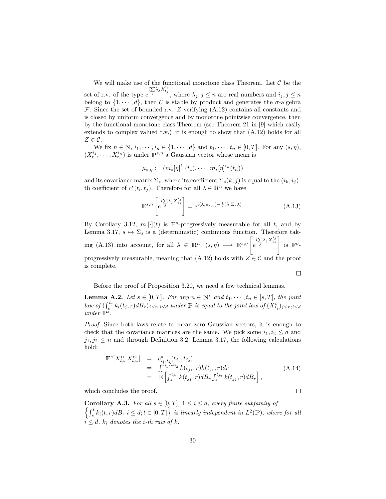We will make use of the functional monotone class Theorem. Let  $C$  be the set of r.v. of the type  $e^{i\sum \lambda_j X^{i_j}_{t_j}}$ , where  $\lambda_j, j \leq n$  are real numbers and  $i_j, j \leq n$ belong to  $\{1, \dots, d\}$ , then C is stable by product and generates the  $\sigma$ -algebra F. Since the set of bounded r.v. Z verifying  $(A.12)$  contains all constants and is closed by uniform convergence and by monotone pointwise convergence, then by the functional monotone class Theorem (see Theorem 21 in [9] which easily extends to complex valued r.v.) it is enough to show that (A.12) holds for all  $Z \in \mathcal{C}$ .

We fix  $n \in \mathbb{N}, i_1, \dots, i_n \in \{1, \dots, d\}$  and  $t_1, \dots, t_n \in [0, T]$ . For any  $(s, \eta)$ ,  $(X_{t_1}^{i_1}, \dots, X_{t_n}^{i_n})$  is under  $\mathbb{P}^{s,\eta}$  a Gaussian vector whose mean is

$$
\mu_{s,\eta} := (m_s[\eta]^{i_1}(t_1), \cdots, m_s[\eta]^{i_n}(t_n))
$$

and its covariance matrix  $\Sigma_s$ , where its coefficient  $\Sigma_s(k, j)$  is equal to the  $(i_k, i_j)$ th coefficient of  $c^{s}(t_i,t_j)$ . Therefore for all  $\lambda \in \mathbb{R}^n$  we have

$$
\mathbb{E}^{s,\eta} \left[ e^{i \sum_j \lambda_j X^{i_j}_{t_j}} \right] = e^{i(\lambda,\mu_{s,\eta}) - \frac{1}{2}(\lambda,\Sigma_s \lambda)}.
$$
 (A.13)

By Corollary 3.12,  $m.[\cdot](t)$  is  $\mathbb{F}^o$ -progressively measurable for all t, and by Lemma 3.17,  $s \mapsto \Sigma_s$  is a (deterministic) continuous function. Therefore taking (A.13) into account, for all  $\lambda \in \mathbb{R}^n$ ,  $(s, \eta) \longmapsto \mathbb{E}^{s,\eta} \left[ e^{i \sum_i \lambda_j X^{i,j}_{t_j}} \right]$ is  $\mathbb{F}^o$ progressively measurable, meaning that  $(A.12)$  holds with  $Z \in \mathcal{C}$  and the proof is complete.  $\Box$ 

Before the proof of Proposition 3.20, we need a few technical lemmas.

**Lemma A.2.** Let  $s \in [0, T]$ . For any  $n \in \mathbb{N}^*$  and  $t_1, \dots, t_n \in [s, T]$ , the joint law of  $(\int_s^{t_j} k_i(t_j,r) d_s)_{j \leq n; i \leq d}$  under  $\mathbb P$  is equal to the joint law of  $(X_{t_j}^i)_{j \leq n; i \leq d}$ under  $\mathbb{P}^s$ .

Proof. Since both laws relate to mean-zero Gaussian vectors, it is enough to check that the covariance matrices are the same. We pick some  $i_1, i_2 \leq d$  and  $j_1, j_2 \leq n$  and through Definition 3.2, Lemma 3.17, the following calculations hold:

$$
\mathbb{E}^{s}[X_{t_{j_1}}^{i_1} X_{t_{j_2}}^{i_2}] = c_{i_1, i_2}^{s}(t_{j_1}, t_{j_2})
$$
\n
$$
= \int_{s}^{t_{j_1} \wedge t_{j_2}} k(t_{j_1}, r) k(t_{j_2}, r) dr
$$
\n
$$
= \mathbb{E}\left[\int_{s}^{t_{j_1}} k(t_{j_1}, r) d_s_r \int_{s}^{t_{j_2}} k(t_{j_2}, r) d_s_r\right],
$$
\n(A.14)

which concludes the proof.

Corollary A.3. For all  $s \in [0, T]$ ,  $1 \leq i \leq d$ , every finite subfamily of  $\left\{\int_s^t k_i(t, r) dB_r | i \leq d; t \in [0, T] \right\}$  is linearly independent in  $L^2(\mathbb{P})$ , where for all  $i \leq d$ ,  $k_i$  denotes the *i*-th raw of *k*.

 $\Box$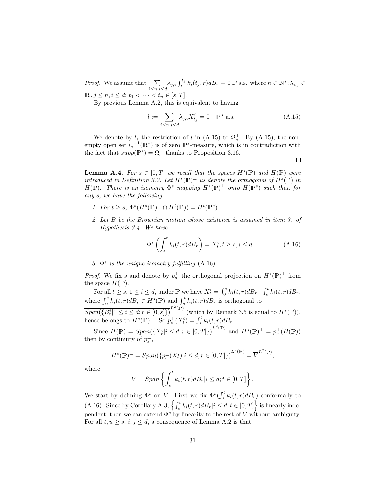*Proof.* We assume that  $\sum$  $\sum_{j \leq n, i \leq d} \lambda_{j,i} \int_s^{t_j} k_i(t_j, r) d_s_r = 0$  P a.s. where  $n \in \mathbb{N}^*; \lambda_{i,j} \in$  $\mathbb{R}, j \leq n, i \leq d; t_1 < \cdots < t_n \in [s, T].$ 

By previous Lemma A.2, this is equivalent to having

$$
l := \sum_{j \le n, i \le d} \lambda_{j,i} X_{t_j}^i = 0 \quad \mathbb{P}^s \text{ a.s.}
$$
 (A.15)

We denote by  $l_s$  the restriction of l in (A.15) to  $\Omega_s^{\perp}$ . By (A.15), the nonempty open set  $l_s^{-1}(\mathbb{R}^*)$  is of zero  $\mathbb{P}^s$ -measure, which is in contradiction with the fact that  $supp(\mathbb{P}^s) = \Omega_s^{\perp}$  thanks to Proposition 3.16.

 $\Box$ 

**Lemma A.4.** For  $s \in [0,T]$  we recall that the spaces  $H^s(\mathbb{P})$  and  $H(\mathbb{P})$  were introduced in Definition 3.2. Let  $H^s(\mathbb{P})^{\perp}$  us denote the orthogonal of  $H^s(\mathbb{P})$  in  $H(\mathbb{P})$ . There is an isometry  $\Phi^s$  mapping  $H^s(\mathbb{P})^{\perp}$  onto  $H(\mathbb{P}^s)$  such that, for any s, we have the following.

- 1. For  $t \geq s$ ,  $\Phi^s(H^s(\mathbb{P})^{\perp} \cap H^t(\mathbb{P})) = H^t(\mathbb{P}^s)$ .
- 2. Let B be the Brownian motion whose existence is assumed in item 3. of Hypothesis 3.4. We have

$$
\Phi^s \left( \int_s^t k_i(t, r) d_s \right) = X_t^i, t \ge s, i \le d. \tag{A.16}
$$

3.  $\Phi^s$  is the unique isometry fulfilling (A.16).

*Proof.* We fix s and denote by  $p_s^{\perp}$  the orthogonal projection on  $H^s(\mathbb{P})^{\perp}$  from the space  $H(\mathbb{P})$ .

For all  $t \geq s, 1 \leq i \leq d$ , under  $\mathbb{P}$  we have  $X_t^i = \int_0^s k_i(t, r) d_s_r + \int_s^t k_i(t, r) d_s_r$ , where  $\int_0^s k_i(t, r) d_s_F \in H^s(\mathbb{P})$  and  $\int_s^t k_i(t, r) d_s_F$  is orthogonal to  $\overline{Span(\{B^i_r|1\leq i\leq d; r\in[0,s]\})}^{L^2(\mathbb{P})}$  (which by Remark 3.5 is equal to  $H^s(\mathbb{P})$ ), hence belongs to  $H^s(\mathbb{P})^{\perp}$ . So  $p_s^{\perp}(X_t^i) = \int_s^t k_i(t, r) dB_r$ .

Since  $H(\mathbb{P}) = \overline{Span(\{X_r^i | i \leq d; r \in [0,T]\})}^{L^2(\mathbb{P})}$  and  $H^s(\mathbb{P})^{\perp} = p_s^{\perp}(H(\mathbb{P}))$ then by continuity of  $p_s^{\perp}$ ,

$$
H^{s}(\mathbb{P})^{\perp} = \overline{Span(\{p_s^{\perp}(X_r^i)|i \leq d; r \in [0,T]\})}^{L^2(\mathbb{P})} = \overline{V}^{L^2(\mathbb{P})},
$$

where

$$
V = Span\left\{\int_{s}^{t} k_i(t,r)dB_r|i \leq d; t \in [0,T]\right\}.
$$

We start by defining  $\Phi^s$  on V. First we fix  $\Phi^s(\int_s^t k_i(t, r) dB_r)$  conformally to (A.16). Since by Corollary A.3,  $\left\{\int_s^t k_i(t, r) d_s_r | i \leq d; t \in [0, T]\right\}$  is linearly independent, then we can extend  $\Phi^s$  by linearity to the rest of V without ambiguity. For all  $t, u \geq s, i, j \leq d$ , a consequence of Lemma A.2 is that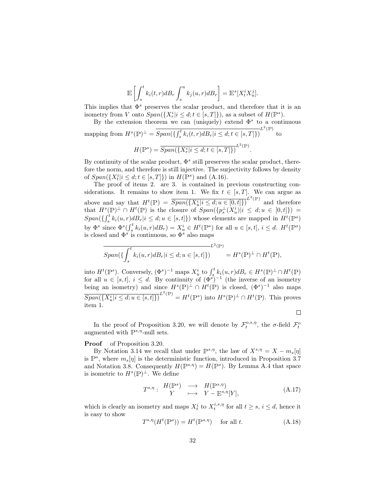$$
\mathbb{E}\left[\int_{s}^{t}k_{i}(t,r)dB_{r}\int_{s}^{u}k_{j}(u,r)dB_{r}\right]=\mathbb{E}^{s}[X_{t}^{i}X_{u}^{j}].
$$

This implies that  $\Phi^s$  preserves the scalar product, and therefore that it is an isometry from V onto  $Span({X_r^i | i \leq d; t \in [s, T]}),$  as a subset of  $H(\mathbb{P}^s)$ .

By the extension theorem we can (uniquely) extend  $\Phi^s$  to a continuous mapping from  $H^s(\mathbb{P})^{\perp} = \overline{Span(\{\int_s^t k_i(t,r)dB_r|i \leq d;t \in [s,T]\}}^{L^2(\mathbb{P})}$  to

$$
H(\mathbb{P}^s) = \overline{Span(\{X_r^i | i \leq d; t \in [s, T]\})}^{L^2(\mathbb{P})}.
$$

By continuity of the scalar product,  $\Phi^s$  still preserves the scalar product, therefore the norm, and therefore is still injective. The surjectivity follows by density of  $Span(\lbrace X_t^i | i \leq d; t \in [s, T] \rbrace)$  in  $H(\mathbb{P}^s)$  and  $(A.16)$ .

The proof of items 2. are 3. is contained in previous constructing considerations. It remains to show item 1. We fix  $t \in [s, T]$ . We can argue as above and say that  $H^t(\mathbb{P}) = \overline{Span(\{X_u^i | i \leq d; u \in [0, t]\})}^{L^2(\mathbb{P})}$  and therefore that  $H^s(\mathbb{P})^{\perp} \cap H^t(\mathbb{P})$  is the closure of  $Span(\{p_s^{\perp}(X_u^i)|i \leq d; u \in [0,t]\})$  =  $Span(\{\int_s^t k_i(u,r) d\mathcal{B}_r | i \leq d; u \in [s,t]\})$  whose elements are mapped in  $H^t(\mathbb{P}^s)$ by  $\Phi^s$  since  $\Phi^s(\int_s^t k_i(u,r) d_s) = X_u^i \in H^t(\mathbb{P}^s)$  for all  $u \in [s,t], i \leq d$ .  $H^t(\mathbb{P}^s)$ is closed and  $\Phi^s$  is continuous, so  $\Phi^s$  also maps

$$
E^{2(\mathbb{P})} = L^{2}(\mathbb{P})
$$
  
Span( $\{\int_{s}^{t} k_{i}(u,r)dB_{r}|i \leq d; u \in [s,t]\})$ 
$$
= H^{s}(\mathbb{P})^{\perp} \cap H^{t}(\mathbb{P}),
$$

into  $H^t(\mathbb{P}^s)$ . Conversely,  $(\Phi^s)^{-1}$  maps  $X_u^i$  to  $\int_s^t k_i(u,r) dB_r \in H^s(\mathbb{P})^{\perp} \cap H^t(\mathbb{P})$ for all  $u \in [s,t], i \leq d$ . By continuity of  $(\Phi^s)^{-1}$  (the inverse of an isometry being an isometry) and since  $H^s(\mathbb{P})^{\perp} \cap H^t(\mathbb{P})$  is closed,  $(\Phi^s)^{-1}$  also maps  $\overline{Span(\{X_u^i | i \leq d; u \in [s, t]\})}^{L^2(\mathbb{P})} = H^t(\mathbb{P}^s)$  into  $H^s(\mathbb{P})^{\perp} \cap H^t(\mathbb{P})$ . This proves item 1.

 $\Box$ 

In the proof of Proposition 3.20, we will denote by  $\mathcal{F}_t^{o,s,\eta}$ , the  $\sigma$ -field  $\mathcal{F}_t^o$ augmented with  $\mathbb{P}^{s,\eta}$ -null sets.

#### Proof of Proposition 3.20.

By Notation 3.14 we recall that under  $\mathbb{P}^{s,\eta}$ , the law of  $X^{s,\eta} = X - m_s[\eta]$ is  $\mathbb{P}^s$ , where  $m_s[\eta]$  is the deterministic function, introduced in Proposition 3.7 and Notation 3.8. Consequently  $H(\mathbb{P}^{s,\eta}) = H(\mathbb{P}^s)$ . By Lemma A.4 that space is isometric to  $H^s(\mathbb{P})^{\perp}$ . We define

$$
T^{s,\eta}: H(\mathbb{P}^s) \longrightarrow H(\mathbb{P}^{s,\eta})
$$
  

$$
Y \longrightarrow Y - \mathbb{E}^{s,\eta}[Y],
$$
  
(A.17)

which is clearly an isometry and maps  $X_t^i$  to  $X_t^{i,s,\eta}$  for all  $t \geq s, i \leq d$ , hence it is easy to show

$$
T^{s,\eta}(H^t(\mathbb{P}^s)) = H^t(\mathbb{P}^{s,\eta}) \quad \text{ for all } t. \tag{A.18}
$$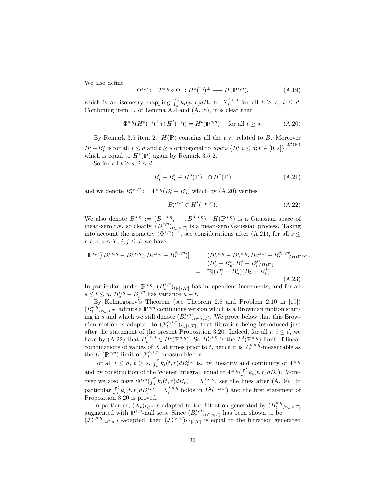We also define

$$
\Phi^{s,\eta} := T^{s,\eta} \circ \Phi_s : H^s(\mathbb{P})^\perp \longrightarrow H(\mathbb{P}^{s,\eta}),\tag{A.19}
$$

which is an isometry mapping  $\int_s^t k_i(u, r) d_s_r$  to  $X_t^{i, s, \eta}$  for all  $t \geq s, i \leq d$ . Combining item 1. of Lemma A.4 and (A.18), it is clear that

$$
\Phi^{s,\eta}(H^s(\mathbb{P})^\perp \cap H^t(\mathbb{P})) = H^t(\mathbb{P}^{s,\eta}) \quad \text{ for all } t \ge s. \tag{A.20}
$$

By Remark 3.5 item 2.,  $H(\mathbb{P})$  contains all the r.v. related to B. Moreover  $B_t^j - B_s^j$  is for all  $j \leq d$  and  $t \geq s$  orthogonal to  $\overline{Span(\{B_r^i | i \leq d; r \in [0, s]\})}^{L^2(\mathbb{P})}$ which is equal to  $H^s(\mathbb{P})$  again by Remark 3.5 2.

So for all  $t \geq s, i \leq d$ ,

$$
B_t^i - B_s^i \in H^s(\mathbb{P})^\perp \cap H^t(\mathbb{P})\tag{A.21}
$$

and we denote  $B_t^{i,s,\eta} := \Phi^{s,\eta}(B_t^i - B_s^i)$  which by (A.20) verifies

$$
B_t^{i,s,\eta} \in H^t(\mathbb{P}^{s,\eta}).\tag{A.22}
$$

We also denote  $B^{s,\eta} := (B^{1,s,\eta}, \cdots, B^{d,s,\eta}).$   $H(\mathbb{P}^{s,\eta})$  is a Gaussian space of mean-zero r.v. so clearly,  $(B_t^{s,\eta})_{t\in [s,T]}$  is a mean-zero Gaussian process. Taking into account the isometry  $(\Phi^{s,\eta})^{-1}$ , see considerations after  $(A.21)$ , for all  $s \leq$  $r, t, u, v \leq T, i, j \leq d$ , we have

$$
\mathbb{E}^{s,\eta}[(B_v^{i,s,\eta} - B_u^{i,s,\eta})(B_r^{j,s,\eta} - B_t^{j,s,\eta})] = \langle B_v^{i,s,\eta} - B_u^{i,s,\eta}, B_r^{j,s,\eta} - B_t^{j,s,\eta} \rangle_{H(\mathbb{P}^{s,\eta})}
$$
  
\n
$$
= \langle B_v^i - B_u^i, B_r^j - B_t^j \rangle_{H(\mathbb{P})}
$$
  
\n
$$
= \mathbb{E}[(B_v^i - B_u^i)(B_r^j - B_t^j)].
$$
  
\n(A.23)

In particular, under  $\mathbb{P}^{s,\eta}$ ,  $(B_t^{s,\eta})_{t\in[s,T]}$  has independent increments, and for all  $s \le t \le u$ ,  $B_{u}^{s,\eta} - B_{t}^{s,\eta}$  has variance  $u - t$ .

By Kolmogorov's Theorem (see Theorem 2.8 and Problem 2.10 in [19])  $(B_t^{s,\eta})_{t\in [s,T]}$  admits a  $\mathbb{P}^{s,\eta}$  continuous version which is a Brownian motion starting in s and which we still denote  $(B_t^{s,\eta})_{t\in [s,T]}$ . We prove below that this Brownian motion is adapted to  $(\mathcal{F}^{o,s,\eta}_t)_{t\in [s,T]}$ , that filtration being introduced just after the statement of the present Proposition 3.20. Indeed, for all  $t, i \leq d$ , we have by (A.22) that  $B_t^{i,s,\eta} \in H^t(\mathbb{P}^{s,\eta})$ . So  $B_t^{i,s,\eta}$  is the  $L^2(\mathbb{P}^{s,\eta})$  limit of linear combinations of values of X at times prior to t, hence it is  $\mathcal{F}^{o,s,\eta}_t$ -measurable as the  $L^2(\mathbb{P}^{s,\eta})$  limit of  $\mathcal{F}_t^{o,s,\eta}$ -measurable r.v.

For all  $i \leq d$ ,  $t \geq s$ ,  $\int_s^t k_i(t,r) d_s^{s,\eta}$  is, by linearity and continuity of  $\Phi^{s,\eta}$ and by construction of the Wiener integral, equal to  $\Phi^{s,\eta}(\int_s^t k_i(t,r)dB_r)$ . Mores over we also have  $\Phi^{s,\eta}(\int_s^t k_i(t,r)dB_r) = X_t^{i,s,\eta}$ , see the lines after (A.19). In particular  $\int_s^t k_i(t, r) dB_r^{s, \eta} = X_t^{i, s, \eta}$  holds in  $L^2(\mathbb{P}^{s, \eta})$  and the first statement of Proposition 3.20 is proved.

In particular,  $(\bar{X}_t)_{t\geq s}$  is adapted to the filtration generated by  $(B_t^{s,\eta})_{t\in [s,T]}$ augmented with  $\mathbb{P}^{s,\eta}$ -null sets. Since  $(B_t^{s,\eta})_{t\in[s,T]}$  has been shown to be  $(\mathcal{F}_{t}^{\overline{o},s,\eta})_{t\in [s,T]}$ -adapted, then  $(\mathcal{F}_{t}^{o,s,\eta})_{t\in [s,T]}$  is equal to the filtration generated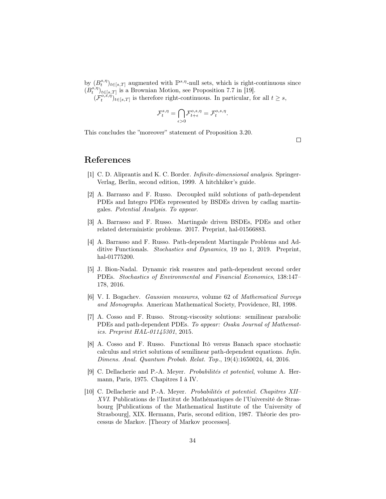by  $(B_t^{s,\eta})_{t\in [s,T]}$  augmented with  $\mathbb{P}^{s,\eta}$ -null sets, which is right-continuous since  $(B_t^{s,\eta})_{t\in [s,T]}$  is a Brownian Motion, see Proposition 7.7 in [19].

 $(\mathcal{F}_{t}^{\overline{o},\vec{s},\vec{\eta}})_{t\in[s,T]}$  is therefore right-continuous. In particular, for all  $t\geq s$ ,

$$
\mathcal{F}^{s,\eta}_t = \bigcap_{\epsilon>0} \mathcal{F}^{o,s,\eta}_{t+\epsilon} = \mathcal{F}^{o,s,\eta}_t.
$$

This concludes the "moreover" statement of Proposition 3.20.

 $\Box$ 

## References

- [1] C. D. Aliprantis and K. C. Border. Infinite-dimensional analysis. Springer-Verlag, Berlin, second edition, 1999. A hitchhiker's guide.
- [2] A. Barrasso and F. Russo. Decoupled mild solutions of path-dependent PDEs and Integro PDEs represented by BSDEs driven by cadlag martingales. Potential Analysis. To appear.
- [3] A. Barrasso and F. Russo. Martingale driven BSDEs, PDEs and other related deterministic problems. 2017. Preprint, hal-01566883.
- [4] A. Barrasso and F. Russo. Path-dependent Martingale Problems and Additive Functionals. Stochastics and Dynamics, 19 no 1, 2019. Preprint, hal-01775200.
- [5] J. Bion-Nadal. Dynamic risk reasures and path-dependent second order PDEs. Stochastics of Environmental and Financial Economics, 138:147– 178, 2016.
- [6] V. I. Bogachev. Gaussian measures, volume 62 of Mathematical Surveys and Monographs. American Mathematical Society, Providence, RI, 1998.
- [7] A. Cosso and F. Russo. Strong-viscosity solutions: semilinear parabolic PDEs and path-dependent PDEs. To appear: Osaka Journal of Mathematics. Preprint HAL-01145301, 2015.
- [8] A. Cosso and F. Russo. Functional Itô versus Banach space stochastic calculus and strict solutions of semilinear path-dependent equations. Infin. Dimens. Anal. Quantum Probab. Relat. Top., 19(4):1650024, 44, 2016.
- [9] C. Dellacherie and P.-A. Meyer. Probabilités et potentiel, volume A. Hermann, Paris, 1975. Chapitres I à IV.
- [10] C. Dellacherie and P.-A. Meyer. Probabilités et potentiel. Chapitres XII– XVI. Publications de l'Institut de Mathématiques de l'Université de Strasbourg [Publications of the Mathematical Institute of the University of Strasbourg], XIX. Hermann, Paris, second edition, 1987. Théorie des processus de Markov. [Theory of Markov processes].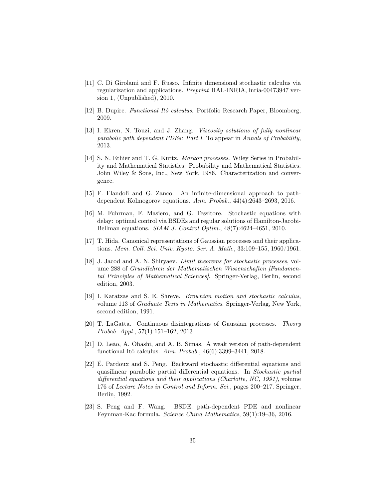- [11] C. Di Girolami and F. Russo. Infinite dimensional stochastic calculus via regularization and applications. Preprint HAL-INRIA, inria-00473947 version 1, (Unpublished), 2010.
- [12] B. Dupire. Functional Itô calculus. Portfolio Research Paper, Bloomberg, 2009.
- [13] I. Ekren, N. Touzi, and J. Zhang. Viscosity solutions of fully nonlinear parabolic path dependent PDEs: Part I. To appear in Annals of Probability, 2013.
- [14] S. N. Ethier and T. G. Kurtz. Markov processes. Wiley Series in Probability and Mathematical Statistics: Probability and Mathematical Statistics. John Wiley & Sons, Inc., New York, 1986. Characterization and convergence.
- [15] F. Flandoli and G. Zanco. An infinite-dimensional approach to pathdependent Kolmogorov equations. Ann. Probab., 44(4):2643–2693, 2016.
- [16] M. Fuhrman, F. Masiero, and G. Tessitore. Stochastic equations with delay: optimal control via BSDEs and regular solutions of Hamilton-Jacobi-Bellman equations. SIAM J. Control Optim., 48(7):4624–4651, 2010.
- [17] T. Hida. Canonical representations of Gaussian processes and their applications. Mem. Coll. Sci. Univ. Kyoto. Ser. A. Math., 33:109–155, 1960/1961.
- [18] J. Jacod and A. N. Shiryaev. Limit theorems for stochastic processes, volume 288 of Grundlehren der Mathematischen Wissenschaften [Fundamental Principles of Mathematical Sciences]. Springer-Verlag, Berlin, second edition, 2003.
- [19] I. Karatzas and S. E. Shreve. Brownian motion and stochastic calculus, volume 113 of Graduate Texts in Mathematics. Springer-Verlag, New York, second edition, 1991.
- [20] T. LaGatta. Continuous disintegrations of Gaussian processes. Theory Probab. Appl., 57(1):151–162, 2013.
- [21] D. Leão, A. Ohashi, and A. B. Simas. A weak version of path-dependent functional Itô calculus. Ann. Probab., 46(6):3399–3441, 2018.
- [22] É. Pardoux and S. Peng. Backward stochastic differential equations and quasilinear parabolic partial differential equations. In Stochastic partial differential equations and their applications (Charlotte, NC, 1991), volume 176 of Lecture Notes in Control and Inform. Sci., pages 200–217. Springer, Berlin, 1992.
- [23] S. Peng and F. Wang. BSDE, path-dependent PDE and nonlinear Feynman-Kac formula. Science China Mathematics, 59(1):19–36, 2016.